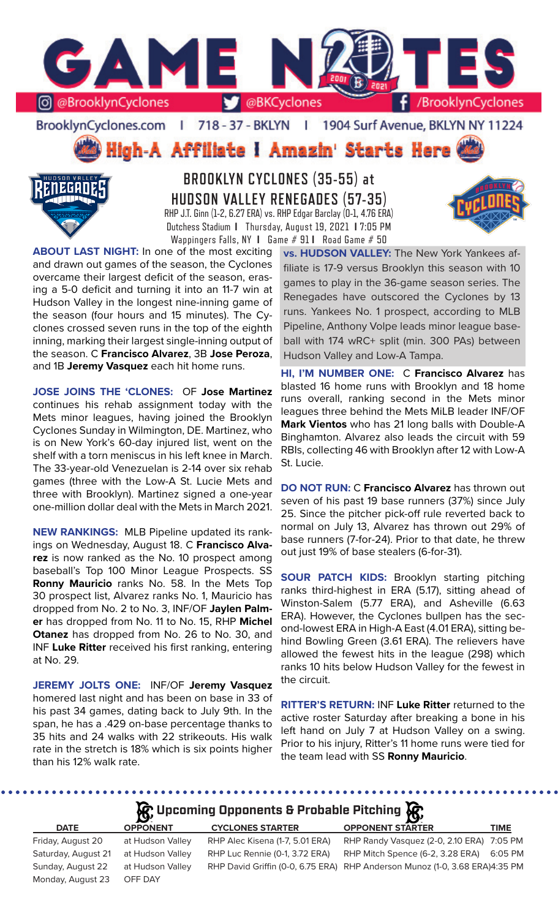

BrooklynCyclones.com | 718 - 37 - BKLYN | 1904 Surf Avenue, BKLYN NY 11224

High-A Affiliate I Amazin' Starts Here



**BROOKLYN CYCLONES (35-55) at HUDSON VALLEY RENEGADES (57-35)** RHP J.T. Ginn (1-2, 6.27 ERA) vs. RHP Edgar Barclay (0-1, 4.76 ERA) Dutchess Stadium **I** Thursday, August 19, 2021 **I** 7:05 PM Wappingers Falls, NY **I** Game # 91 **I** Road Game # 50

**ABOUT LAST NIGHT:** In one of the most exciting and drawn out games of the season, the Cyclones overcame their largest deficit of the season, erasing a 5-0 deficit and turning it into an 11-7 win at Hudson Valley in the longest nine-inning game of the season (four hours and 15 minutes). The Cyclones crossed seven runs in the top of the eighth inning, marking their largest single-inning output of the season. C **Francisco Alvarez**, 3B **Jose Peroza**, and 1B **Jeremy Vasquez** each hit home runs.

**JOSE JOINS THE 'CLONES:** OF **Jose Martinez**  continues his rehab assignment today with the Mets minor leagues, having joined the Brooklyn Cyclones Sunday in Wilmington, DE. Martinez, who is on New York's 60-day injured list, went on the shelf with a torn meniscus in his left knee in March. The 33-year-old Venezuelan is 2-14 over six rehab games (three with the Low-A St. Lucie Mets and three with Brooklyn). Martinez signed a one-year one-million dollar deal with the Mets in March 2021.

**NEW RANKINGS:** MLB Pipeline updated its rankings on Wednesday, August 18. C **Francisco Alvarez** is now ranked as the No. 10 prospect among baseball's Top 100 Minor League Prospects. SS **Ronny Mauricio** ranks No. 58. In the Mets Top 30 prospect list, Alvarez ranks No. 1, Mauricio has dropped from No. 2 to No. 3, INF/OF **Jaylen Palmer** has dropped from No. 11 to No. 15, RHP **Michel Otanez** has dropped from No. 26 to No. 30, and INF **Luke Ritter** received his first ranking, entering at No. 29.

**JEREMY JOLTS ONE:** INF/OF **Jeremy Vasquez**  homered last night and has been on base in 33 of his past 34 games, dating back to July 9th. In the span, he has a .429 on-base percentage thanks to 35 hits and 24 walks with 22 strikeouts. His walk rate in the stretch is 18% which is six points higher than his 12% walk rate.

. . . . . . . . . . . . . . . . . .

**vs. HUDSON VALLEY:** The New York Yankees affiliate is 17-9 versus Brooklyn this season with 10 games to play in the 36-game season series. The Renegades have outscored the Cyclones by 13 runs. Yankees No. 1 prospect, according to MLB Pipeline, Anthony Volpe leads minor league baseball with 174 wRC+ split (min. 300 PAs) between Hudson Valley and Low-A Tampa.

**HI, I'M NUMBER ONE:** C **Francisco Alvarez** has blasted 16 home runs with Brooklyn and 18 home runs overall, ranking second in the Mets minor leagues three behind the Mets MiLB leader INF/OF **Mark Vientos** who has 21 long balls with Double-A Binghamton. Alvarez also leads the circuit with 59 RBIs, collecting 46 with Brooklyn after 12 with Low-A St. Lucie.

**DO NOT RUN:** C **Francisco Alvarez** has thrown out seven of his past 19 base runners (37%) since July 25. Since the pitcher pick-off rule reverted back to normal on July 13, Alvarez has thrown out 29% of base runners (7-for-24). Prior to that date, he threw out just 19% of base stealers (6-for-31).

**SOUR PATCH KIDS:** Brooklyn starting pitching ranks third-highest in ERA (5.17), sitting ahead of Winston-Salem (5.77 ERA), and Asheville (6.63 ERA). However, the Cyclones bullpen has the second-lowest ERA in High-A East (4.01 ERA), sitting behind Bowling Green (3.61 ERA). The relievers have allowed the fewest hits in the league (298) which ranks 10 hits below Hudson Valley for the fewest in the circuit.

**RITTER'S RETURN:** INF **Luke Ritter** returned to the active roster Saturday after breaking a bone in his left hand on July 7 at Hudson Valley on a swing. Prior to his injury, Ritter's 11 home runs were tied for the team lead with SS **Ronny Mauricio**.

# **Upcoming Opponents & Probable Pitching**

|                     | $\mathbf{B}$     |                                 | - 192                                                                       |             |
|---------------------|------------------|---------------------------------|-----------------------------------------------------------------------------|-------------|
| <b>DATE</b>         | <b>OPPONENT</b>  | <b>CYCLONES STARTER</b>         | <b>OPPONENT STARTER</b>                                                     | <b>TIME</b> |
| Friday, August 20   | at Hudson Valley | RHP Alec Kisena (1-7, 5.01 ERA) | RHP Randy Vasquez (2-0, 2.10 ERA) 7:05 PM                                   |             |
| Saturday, August 21 | at Hudson Valley | RHP Luc Rennie (0-1, 3.72 ERA)  | RHP Mitch Spence (6-2, 3.28 ERA)                                            | 6:05 PM     |
| Sunday, August 22   | at Hudson Valley |                                 | RHP David Griffin (0-0, 6.75 ERA) RHP Anderson Munoz (1-0, 3.68 ERA)4:35 PM |             |
| Monday, August 23   | OFF DAY          |                                 |                                                                             |             |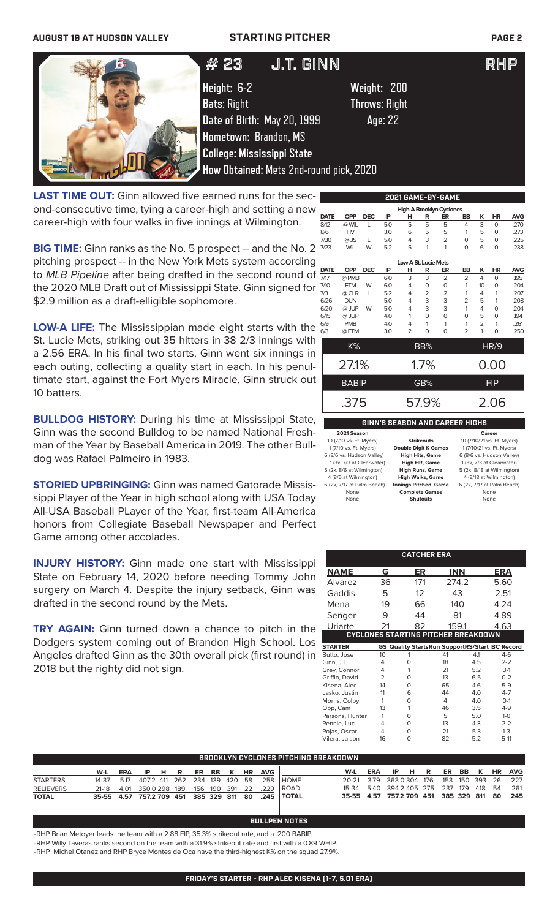## **AUGUST 19 AT HUDSON VALLEY STARTING PITCHER PAGE 2**



## $#$  25 J.I.UINN  $#$  25 J.I.U # 23 J.T. GINN RHP

**Height:** 6-2 **Weight:** 200 **Bats**: Right **Throws**: Right **Date of Birth:** May 20, 1999 **Age**: 22

LAST TIME OUT: Ginn allowed five earned runs for the second-consecutive time, tying a career-high and setting a new career-high with four walks in five innings at Wilmington.

**BIG TIME:** Ginn ranks as the No. 5 prospect -- and the No. 2 pitching prospect -- in the New York Mets system according to *MLB Pipeline* after being drafted in the second round of the 2020 MLB Draft out of Mississippi State. Ginn signed for \$2.9 million as a draft-elligible sophomore.

**LOW-A LIFE:** The Mississippian made eight starts with the St. Lucie Mets, striking out 35 hitters in 38 2/3 innings with a 2.56 ERA. In his final two starts, Ginn went six innings in each outing, collecting a quality start in each. In his penultimate start, against the Fort Myers Miracle, Ginn struck out 10 batters.

**BULLDOG HISTORY:** During his time at Mississippi State, Ginn was the second Bulldog to be named National Freshman of the Year by Baseball America in 2019. The other Bulldog was Rafael Palmeiro in 1983.

**STORIED UPBRINGING:** Ginn was named Gatorade Mississippi Player of the Year in high school along with USA Today All-USA Baseball PLayer of the Year, first-team All-America honors from Collegiate Baseball Newspaper and Perfect Game among other accolades.

**INJURY HISTORY:** Ginn made one start with Mississippi State on February 14, 2020 before needing Tommy John surgery on March 4. Despite the injury setback, Ginn was drafted in the second round by the Mets.

**TRY AGAIN:** Ginn turned down a chance to pitch in the Dodgers system coming out of Brandon High School. Los Angeles drafted Ginn as the 30th overall pick (first round) in 2018 but the righty did not sign.

|                      |              |              |                                |                |          | 2021 GAME-BY-GAME        |                |                |             |            |  |  |
|----------------------|--------------|--------------|--------------------------------|----------------|----------|--------------------------|----------------|----------------|-------------|------------|--|--|
|                      |              |              |                                |                |          | High-A Brooklyn Cyclones |                |                |             |            |  |  |
| <b>DATE</b>          | <b>OPP</b>   | <b>DEC</b>   | IP                             | н              | R        | ER                       | BB             | ĸ              | HR          | <b>AVG</b> |  |  |
| 8/12                 | @ WIL        | L            | 5.0                            | 5              | 5        | 5                        | 4              | 3              | $\Omega$    | .270       |  |  |
| 8/6                  | HV           |              | 3.0                            | 6              | 5        | 5                        | 1              | 5              | $\Omega$    | .273       |  |  |
| 7/30                 | $@$ JS       | $\mathbf{L}$ | 5.0                            | 4              | 3        | $\overline{2}$           | $\Omega$       | 5              | $\Omega$    | .225       |  |  |
| 7/23                 | <b>WIL</b>   | W            | 5.2                            | 5              | 1        | 1                        | $\Omega$       | 6              | $\Omega$    | .238       |  |  |
| Low-A St. Lucie Mets |              |              |                                |                |          |                          |                |                |             |            |  |  |
| <b>DATE</b>          | OPP          | <b>DEC</b>   | IP                             | н              | R        | ER                       | <b>BB</b>      | K              | <b>HR</b>   | <b>AVG</b> |  |  |
| 7/17                 | @ PMB        |              | 6.0                            | 3              | 3        | $\overline{2}$           | $\overline{2}$ | 4              | $\Omega$    | 195        |  |  |
| 7/10                 | <b>FTM</b>   | W            | 6.0                            | 4              | 0        | 0                        | 1              | 10             | $\mathbf 0$ | .204       |  |  |
| 7/3                  | @ CLR        | L            | 5.2                            | 4              | 2        | $\overline{2}$           | 1              | 4              | 1           | .207       |  |  |
| 6/26                 | <b>DUN</b>   |              | 5.0                            | 4              | 3        | 3                        | $\overline{2}$ | 5              | 1           | .208       |  |  |
| 6/20                 | @ JUP        | W            | 5.0                            | 4              | 3        | 3                        | 1              | 4              | $\Omega$    | .204       |  |  |
| 6/15                 | @ JUP        |              | 4.0                            | 1              | $\Omega$ | $\Omega$                 | O              | 5              | $\mathbf 0$ | .194       |  |  |
| 6/9                  | <b>PMB</b>   |              | 4.0                            | 4              | 1        | 1                        | 1              | $\overline{2}$ | 1           | .261       |  |  |
| 6/3                  | @FTM         |              | 3.0                            | $\overline{2}$ | $\Omega$ | $\Omega$                 | $\overline{2}$ | 1              | O           | .250       |  |  |
|                      | K%           |              |                                |                | BB%      |                          |                |                | <b>HR/9</b> |            |  |  |
|                      | 27.1%        |              |                                |                | 1.7%     |                          |                |                | 0.00        |            |  |  |
|                      | <b>BABIP</b> |              |                                |                | GB%      |                          |                |                | <b>FIP</b>  |            |  |  |
| .375                 |              |              |                                |                | 57.9%    |                          |                |                | 2.06        |            |  |  |
|                      |              |              | GINN'S SEASON AND CAREER HIGHS |                |          |                          |                |                |             |            |  |  |

| 2021 Season                |                              | Career                     |
|----------------------------|------------------------------|----------------------------|
| 10 (7/10 vs. Ft. Myers)    | <b>Strikeouts</b>            | 10 (7/10/21 vs. Ft. Myers) |
| 1 (7/10 vs. Ft. Myers)     | <b>Double Digit K Games</b>  | 1 (7/10/21 vs. Ft. Myers)  |
| 6 (8/6 vs. Hudson Valley)  | <b>High Hits, Game</b>       | 6 (8/6 vs. Hudson Valley)  |
| 1 (3x, 7/3 at Clearwater)  | High HR, Game                | 1 (3x, 7/3 at Clearwater)  |
| 5 (2x, 8/6 at Wilmington)  | <b>High Runs, Game</b>       | 5 (2x, 8/18 at Wilmington) |
| 4 (8/6 at Wilmington)      | <b>High Walks, Game</b>      | 4 (8/18 at Wilmington)     |
| 6 (2x, 7/17 at Palm Beach) | <b>Innings Pitched, Game</b> | 6 (2x, 7/17 at Palm Beach) |
| None                       | <b>Complete Games</b>        | None                       |
| None                       | <b>Shutouts</b>              | None                       |

|                                     | <b>CATCHER ERA</b> |          |            |      |                                                       |  |  |  |  |  |  |
|-------------------------------------|--------------------|----------|------------|------|-------------------------------------------------------|--|--|--|--|--|--|
| NAME                                | G                  | ER       | <b>INN</b> |      | ERA                                                   |  |  |  |  |  |  |
| Alvarez                             | 36                 | 171      | 274.2      | 5.60 |                                                       |  |  |  |  |  |  |
| Gaddis                              | 5                  | 12       | 43         |      | 2.51                                                  |  |  |  |  |  |  |
| Mena                                | 19                 | 66       | 140        |      | 4.24                                                  |  |  |  |  |  |  |
| Senger                              | 9                  | 44       | 81         |      | 4.89                                                  |  |  |  |  |  |  |
| Uriarte                             | 21                 | 82       | 159.1      |      | 4.63                                                  |  |  |  |  |  |  |
| CYCLONES STARTING PITCHER BREAKDOWN |                    |          |            |      |                                                       |  |  |  |  |  |  |
| <b>STARTER</b>                      |                    |          |            |      | <b>GS Quality StartsRun SupportRS/Start BC Record</b> |  |  |  |  |  |  |
| Butto, Jose                         | 10                 | 1        | 41         | 4.1  | $4-6$                                                 |  |  |  |  |  |  |
| Ginn, J.T.                          | 4                  | O        | 18         | 4.5  | $2-2$                                                 |  |  |  |  |  |  |
| Grey, Connor                        | 4                  | 1        | 21         | 5.2  | $3-1$                                                 |  |  |  |  |  |  |
| Griffin, David                      | $\mathcal{P}$      | O        | 13         | 65   | $0 - 2$                                               |  |  |  |  |  |  |
| Kisena, Alec                        | 14                 | O        | 65         | 4.6  | $5-9$                                                 |  |  |  |  |  |  |
| Lasko, Justin                       | 11                 | 6        | 44         | 4 O  | $4 - 7$                                               |  |  |  |  |  |  |
| Morris, Colby                       | 1                  | O        | 4          | 4.0  | $O-1$                                                 |  |  |  |  |  |  |
| Opp, Cam                            | 13                 | 1        | 46         | 3.5  | $4 - 9$                                               |  |  |  |  |  |  |
| Parsons, Hunter                     | 1                  | O        | 5          | 5.0  | $1 - 0$                                               |  |  |  |  |  |  |
| Rennie, Luc                         | 4                  | O        | 13         | 4.3  | $2 - 2$                                               |  |  |  |  |  |  |
| Rojas, Oscar                        | 4                  | O        | 21         | 5.3  | $1 - 3$                                               |  |  |  |  |  |  |
| Vilera, Jaison                      | 16                 | $\Omega$ | 82         | 5.2  | $5-11$                                                |  |  |  |  |  |  |

|                  | ' BROOKLYN CYCLONES PITCHING BREAKDOWN. |  |                           |  |  |  |  |  |  |  |                                                             |                                              |  |  |  |  |  |                           |
|------------------|-----------------------------------------|--|---------------------------|--|--|--|--|--|--|--|-------------------------------------------------------------|----------------------------------------------|--|--|--|--|--|---------------------------|
|                  | W-L                                     |  |                           |  |  |  |  |  |  |  |                                                             | W-L                                          |  |  |  |  |  | ERA IP H R ER BB K HR AVG |
|                  |                                         |  | ERA IP H R ER BB K HR AVG |  |  |  |  |  |  |  |                                                             |                                              |  |  |  |  |  |                           |
| <b>STARTERS</b>  |                                         |  |                           |  |  |  |  |  |  |  | 14-37  5.17  407.2  411  262  234  139  420  58  .258  HOME | 20-21 3.79 363.0304 176 153 150 393 26 .227  |  |  |  |  |  |                           |
| <b>RELIEVERS</b> |                                         |  |                           |  |  |  |  |  |  |  | 21-18  4.01  350.0  298  189  156  190  391  22  .229  ROAD | 15-34 5.40 394.2 405 275 237 179 418 54 .261 |  |  |  |  |  |                           |
| <b>TOTAL</b>     |                                         |  |                           |  |  |  |  |  |  |  | 35-55 4.57 757.2 709 451 385 329 811 80 .245   TOTAL        | 35-55 4.57 757.2 709 451 385 329 811 80 .245 |  |  |  |  |  |                           |

**BULLPEN** 

-RHP Brian Metoyer leads the team with a 2.88 FIP, 35.3% strikeout rate, and a .200 BABIP. -RHP Willy Taveras ranks second on the team with a 31.9% strikeout rate and first with a 0.89 WHIP.

-RHP Michel Otanez and RHP Bryce Montes de Oca have the third-highest K% on the squad 27.9%.

**FRIDAY'S STARTER - RHP ALEC KISENA (1-7, 5.01 ERA)**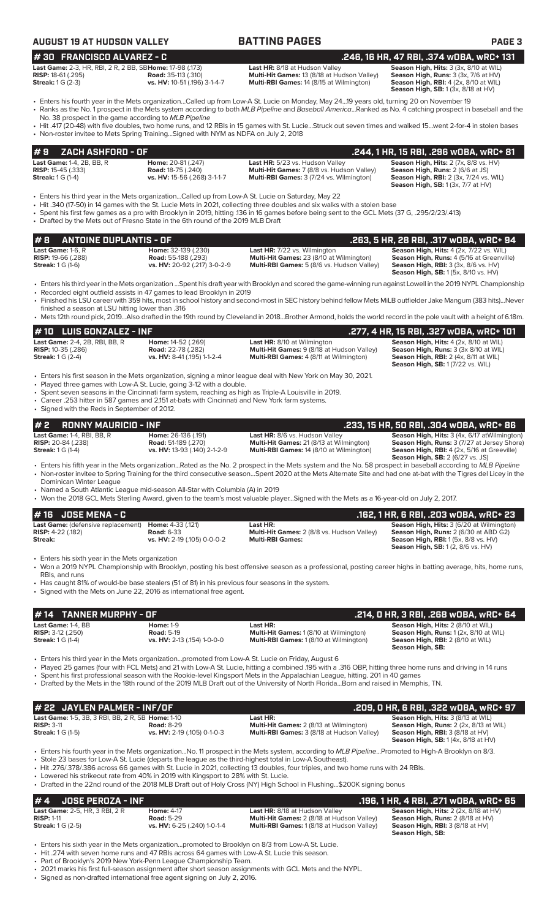| <b>AUGUST 19 AT HUDSON VALLEY</b>                                                                                                                                                                                                                                                                                               |                                                                                   | <b>BATTING PAGES</b>                                                                                                                                                                                                                                                                                                                                                                                                                                                        | PAGE <sub>3</sub>                                                                                                                                                                             |
|---------------------------------------------------------------------------------------------------------------------------------------------------------------------------------------------------------------------------------------------------------------------------------------------------------------------------------|-----------------------------------------------------------------------------------|-----------------------------------------------------------------------------------------------------------------------------------------------------------------------------------------------------------------------------------------------------------------------------------------------------------------------------------------------------------------------------------------------------------------------------------------------------------------------------|-----------------------------------------------------------------------------------------------------------------------------------------------------------------------------------------------|
| #30 FRANCISCO ALVAREZ - C                                                                                                                                                                                                                                                                                                       |                                                                                   |                                                                                                                                                                                                                                                                                                                                                                                                                                                                             | .246, 16 HR, 47 RBI, .374 wOBA, wRC+ 131                                                                                                                                                      |
| Last Game: 2-3, HR, RBI, 2 R, 2 BB, SBHome: 17-98 (.173)<br><b>RISP:</b> 18-61 (.295)<br><b>Streak:</b> 1 G (2-3)                                                                                                                                                                                                               | <b>Road:</b> 35-113 (.310)<br>vs. HV: 10-51 (.196) 3-1-4-7                        | Last HR: 8/18 at Hudson Valley<br>Multi-Hit Games: 13 (8/18 at Hudson Valley)<br>Multi-RBI Games: 14 (8/15 at Wilmington)                                                                                                                                                                                                                                                                                                                                                   | Season High, Hits: 3 (3x, 8/10 at WIL)<br>Season High, Runs: 3 (3x, 7/6 at HV)<br><b>Season High, RBI: 4 (2x, 8/10 at WIL)</b><br>Season High, SB: 1 (3x, 8/18 at HV)                         |
| No. 38 prospect in the game according to MLB Pipeline                                                                                                                                                                                                                                                                           |                                                                                   | • Enters his fourth year in the Mets organizationCalled up from Low-A St. Lucie on Monday, May 2419 years old, turning 20 on November 19<br>• Ranks as the No. 1 prospect in the Mets system according to both MLB Pipeline and Baseball AmericaRanked as No. 4 catching prospect in baseball and the                                                                                                                                                                       |                                                                                                                                                                                               |
| • Non-roster invitee to Mets Spring TrainingSigned with NYM as NDFA on July 2, 2018                                                                                                                                                                                                                                             |                                                                                   | • Hit .417 (20-48) with five doubles, two home runs, and 12 RBIs in 15 games with St. LucieStruck out seven times and walked 15went 2-for-4 in stolen bases                                                                                                                                                                                                                                                                                                                 |                                                                                                                                                                                               |
| #9<br>ZACH ASHFORD - OF                                                                                                                                                                                                                                                                                                         |                                                                                   |                                                                                                                                                                                                                                                                                                                                                                                                                                                                             | .244, 1 HR, 15 RBI, .296 wOBA, wRC+ 81                                                                                                                                                        |
| Last Game: 1-4, 2B, BB, R<br><b>RISP:</b> 15-45 (.333)<br><b>Streak:</b> 1 G (1-4)                                                                                                                                                                                                                                              | Home: 20-81 (.247)<br><b>Road: 18-75 (.240)</b><br>vs. HV: 15-56 (.268) 3-1-1-7   | Last HR: 5/23 vs. Hudson Valley<br>Multi-Hit Games: 7 (8/8 vs. Hudson Valley)<br>Multi-RBI Games: 3 (7/24 vs. Wilmington)                                                                                                                                                                                                                                                                                                                                                   | Season High, Hits: 2 (7x, 8/8 vs. HV)<br>Season High, Runs: 2 (6/6 at JS)<br><b>Season High, RBI: 2 (3x, 7/24 vs. WIL)</b><br><b>Season High, SB: 1 (3x, 7/7 at HV)</b>                       |
| Enters his third year in the Mets organizationCalled up from Low-A St. Lucie on Saturday, May 22 •<br>• Drafted by the Mets out of Fresno State in the 6th round of the 2019 MLB Draft                                                                                                                                          |                                                                                   | • Hit .340 (17-50) in 14 games with the St. Lucie Mets in 2021, collecting three doubles and six walks with a stolen base<br>• Spent his first few games as a pro with Brooklyn in 2019, hitting .136 in 16 games before being sent to the GCL Mets (37 G, .295/2/23/.413)                                                                                                                                                                                                  |                                                                                                                                                                                               |
| <b>ANTOINE DUPLANTIS - OF</b><br>#8                                                                                                                                                                                                                                                                                             |                                                                                   |                                                                                                                                                                                                                                                                                                                                                                                                                                                                             | .263, 5 HR, 28 RBI, .317 wOBA, wRC+ 94                                                                                                                                                        |
| Last Game: 1-6. R<br><b>RISP:</b> 19-66 (.288)<br><b>Streak:</b> 1 G (1-6)                                                                                                                                                                                                                                                      | Home: 32-139 (.230)<br><b>Road:</b> 55-188 (.293)<br>vs. HV: 20-92 (.217) 3-0-2-9 | Last HR: 7/22 vs. Wilmington<br>Multi-Hit Games: 23 (8/10 at Wilmington)<br>Multi-RBI Games: 5 (8/6 vs. Hudson Valley)                                                                                                                                                                                                                                                                                                                                                      | Season High, Hits: 4 (2x, 7/22 vs. WIL)<br>Season High, Runs: 4 (5/16 at Greenville)<br>Season High, RBI: 3 (3x, 8/6 vs. HV)<br>Season High, SB: 1 (5x, 8/10 vs. HV)                          |
| • Recorded eight outfield assists in 47 games to lead Brooklyn in 2019<br>finished a season at LSU hitting lower than .316                                                                                                                                                                                                      |                                                                                   | · Enters his third year in the Mets organization Spent his draft year with Brooklyn and scored the game-winning run against Lowell in the 2019 NYPL Championship<br>• Finished his LSU career with 359 hits, most in school history and second-most in SEC history behind fellow Mets MiLB outfielder Jake Mangum (383 hits)Never                                                                                                                                           |                                                                                                                                                                                               |
|                                                                                                                                                                                                                                                                                                                                 |                                                                                   | • Mets 12th round pick, 2019Also drafted in the 19th round by Cleveland in 2018Brother Armond, holds the world record in the pole vault with a height of 6.18m.                                                                                                                                                                                                                                                                                                             |                                                                                                                                                                                               |
| <b>LUIS GONZALEZ - INF</b><br>#10                                                                                                                                                                                                                                                                                               |                                                                                   |                                                                                                                                                                                                                                                                                                                                                                                                                                                                             | .277, 4 HR, 15 RBI, .327 wOBA, wRC+ 101                                                                                                                                                       |
| Last Game: 2-4, 2B, RBI, BB, R<br><b>RISP:</b> 10-35 (.286)<br><b>Streak:</b> 1 G (2-4)                                                                                                                                                                                                                                         | Home: 14-52 (.269)<br><b>Road:</b> 22-78 (.282)<br>vs. HV: 8-41 (.195) 1-1-2-4    | Last HR: 8/10 at Wilmington<br>Multi-Hit Games: 9 (8/18 at Hudson Valley)<br>Multi-RBI Games: 4 (8/11 at Wilmington)                                                                                                                                                                                                                                                                                                                                                        | Season High, Hits: 4 (2x, 8/10 at WIL)<br>Season High, Runs: 3 (3x 8/10 at WIL)<br>Season High, RBI: 2 (4x, 8/11 at WIL)<br><b>Season High, SB: 1 (7/22 vs. WIL)</b>                          |
| • Played three games with Low-A St. Lucie, going 3-12 with a double.<br>• Spent seven seasons in the Cincinnati farm system, reaching as high as Triple-A Louisville in 2019.<br>• Career .253 hitter in 587 games and 2,151 at-bats with Cincinnati and New York farm systems.<br>• Signed with the Reds in September of 2012. |                                                                                   | • Enters his first season in the Mets organization, signing a minor league deal with New York on May 30, 2021.                                                                                                                                                                                                                                                                                                                                                              |                                                                                                                                                                                               |
| #2<br><b>RONNY MAURICIO - INF</b>                                                                                                                                                                                                                                                                                               |                                                                                   |                                                                                                                                                                                                                                                                                                                                                                                                                                                                             | .233, 15 HR, 50 RBI, .304 w0BA, wRC+ 86                                                                                                                                                       |
| Last Game: 1-4, RBI, BB, R<br><b>RISP:</b> 20-84 (.238)<br><b>Streak:</b> 1 G (1-4)                                                                                                                                                                                                                                             | Home: 26-136 (.191)<br><b>Road: 51-189 (.270)</b><br>vs. HV: 13-93 (.140) 2-1-2-9 | Last HR: 8/6 vs. Hudson Valley<br>Multi-Hit Games: 21 (8/13 at Wilmington)<br>Multi-RBI Games: 14 (8/10 at Wilmington)                                                                                                                                                                                                                                                                                                                                                      | Season High, Hits: 3 (4x, 6/17 at Wilmington)<br><b>Season High, Runs: 3 (7/27 at Jersey Shore)</b><br>Season High, RBI: 4 (2x, 5/16 at Greeville)<br><b>Season High, SB: 2 (6/27 vs. JS)</b> |
| Dominican Winter League<br>• Named a South Atlantic League mid-season All-Star with Columbia (A) in 2019                                                                                                                                                                                                                        |                                                                                   | • Enters his fifth year in the Mets organizationRated as the No. 2 prospect in the Mets system and the No. 58 prospect in baseball according to MLB Pipeline<br>• Non-roster invitee to Spring Training for the third consecutive seasonSpent 2020 at the Mets Alternate Site and had one at-bat with the Tigres del Licey in the<br>• Won the 2018 GCL Mets Sterling Award, given to the team's most valuable playerSigned with the Mets as a 16-year-old on July 2, 2017. |                                                                                                                                                                                               |
| <b>JOSE MENA - C</b><br>#16                                                                                                                                                                                                                                                                                                     |                                                                                   |                                                                                                                                                                                                                                                                                                                                                                                                                                                                             | .162, 1 HR, 6 RBI, .203 w0BA, wRC+ 23                                                                                                                                                         |
| Last Game: (defensive replacement)<br><b>RISP: 4-22 (.182)</b><br><b>Streak:</b>                                                                                                                                                                                                                                                | Home: 4-33 (.121)<br><b>Road: 6-33</b><br>vs. HV: 2-19 (.105) 0-0-0-2             | Last HR:<br>Multi-Hit Games: 2 (8/8 vs. Hudson Valley)<br><b>Multi-RBI Games:</b>                                                                                                                                                                                                                                                                                                                                                                                           | Season High, Hits: 3 (6/20 at Wilmington)<br>Season High, Runs: 2 (6/30 at ABD G2)<br>Season High, RBI: 1 (5x, 8/8 vs. HV)<br><b>Season High, SB:</b> 1(2, 8/6 vs. HV)                        |
| • Enters his sixth year in the Mets organization<br>RBIs, and runs<br>• Has caught 81% of would-be base stealers (51 of 81) in his previous four seasons in the system.<br>• Signed with the Mets on June 22, 2016 as international free agent.                                                                                 |                                                                                   | • Won a 2019 NYPL Championship with Brooklyn, posting his best offensive season as a professional, posting career highs in batting average, hits, home runs,                                                                                                                                                                                                                                                                                                                |                                                                                                                                                                                               |
| <b>TANNER MURPHY - OF</b><br># 14                                                                                                                                                                                                                                                                                               |                                                                                   |                                                                                                                                                                                                                                                                                                                                                                                                                                                                             | .214, 0 HR, 3 RBI, .268 w0BA, wRC+ 64                                                                                                                                                         |
| Last Game: 1-4, BB<br><b>RISP: 3-12 (.250)</b><br><b>Streak:</b> 1 G (1-4)                                                                                                                                                                                                                                                      | <b>Home: 1-9</b><br><b>Road: 5-19</b><br>vs. HV: 2-13 (.154) 1-0-0-0              | Last HR:<br>Multi-Hit Games: 1 (8/10 at Wilmington)<br>Multi-RBI Games: 1 (8/10 at Wilmington)                                                                                                                                                                                                                                                                                                                                                                              | Season High, Hits: 2 (8/10 at WIL)<br>Season High, Runs: 1 (2x, 8/10 at WIL)<br><b>Season High, RBI:</b> 2 (8/10 at WIL)                                                                      |

 **Season High, SB:**  • Enters his third year in the Mets organization...promoted from Low-A St. Lucie on Friday, August 6

• Played 25 games (four with FCL Mets) and 21 with Low-A St. Lucie, hitting a combined .195 with a .316 OBP, hitting three home runs and driving in 14 runs

• Spent his first professional season with the Rookie-level Kingsport Mets in the Appalachian League, hitting. 201 in 40 games • Drafted by the Mets in the 18th round of the 2019 MLB Draft out of the University of North Florida...Born and raised in Memphis, TN.

| $\#$ 22 JAYLEN PALMER - INF/OF                    |                             |                                                   | .209. O HR. 6 RBI. .322 wOBA. wRC+ 97          |
|---------------------------------------------------|-----------------------------|---------------------------------------------------|------------------------------------------------|
| Last Game: 1-5, 3B, 3 RBI, BB, 2 R, SB Home: 1-10 |                             | Last HR:                                          | <b>Season High, Hits: 3 (8/13 at WIL)</b>      |
| $RISP: 3-11$                                      | <b>Road: 8-29</b>           | <b>Multi-Hit Games: 2 (8/13 at Wilmington)</b>    | Season High, Runs: 2 (2x, 8/13 at WIL)         |
| <b>Streak:</b> 1 G (1-5)                          | vs. HV: 2-19 (.105) 0-1-0-3 | <b>Multi-RBI Games:</b> 3 (8/18 at Hudson Valley) | <b>Season High, RBI:</b> $3(8/18$ at $HV$ )    |
|                                                   |                             |                                                   | <b>Season High, SB:</b> $1(4x, 8/18$ at $HV$ ) |

• Enters his fourth year in the Mets organization...No. 11 prospect in the Mets system, according to *MLB Pipeline*...Promoted to High-A Brooklyn on 8/3. Stole 23 bases for Low-A St. Lucie (departs the league as the third-highest total in Low-A Southeast).

• Hit .276/.378/.386 across 66 games with St. Lucie in 2021, collecting 13 doubles, four triples, and two home runs with 24 RBIs.

• Lowered his strikeout rate from 40% in 2019 with Kingsport to 28% with St. Lucie.

• Drafted in the 22nd round of the 2018 MLB Draft out of Holy Cross (NY) High School in Flushing...\$200K signing bonus

### **# 4 JOSE PEROZA - INF .196, 1 HR, 4 RBI, .271 wOBA, wRC+ 65 Last Game:** 2-5, HR, 3 RBI, 2 R **Home:** 4-17 **Last HR:** 8/18 at Hudson Valley **Season High, Hits:** 2 (2x, 8/18 at HV) **RISP:** 1-11 **Road:** 5-29 **Multi-Hit Games:** 2 (8/18 at Hudson Valley) **Season High, Runs:** 2 (8/18 at HV) **Streak:** 1 G (2-5) **vs. HV:** 6-25 (.240) 1-0-1-4 **Multi-RBI Games:** 1 (8/18 at Hudson Valley) **Season High, RBI:** 3 (8/18 at HV)<br>**Season High, RBI:** 3 (8/18 at HV)<br>**Season High, SB:**

• Enters his sixth year in the Mets organization...promoted to Brooklyn on 8/3 from Low-A St. Lucie.

• Hit .274 with seven home runs and 47 RBIs across 64 games with Low-A St. Lucie this season.

• Part of Brooklyn's 2019 New York-Penn League Championship Team.

• 2021 marks his first full-season assignment after short season assignments with GCL Mets and the NYPL.

• Signed as non-drafted international free agent signing on July 2, 2016.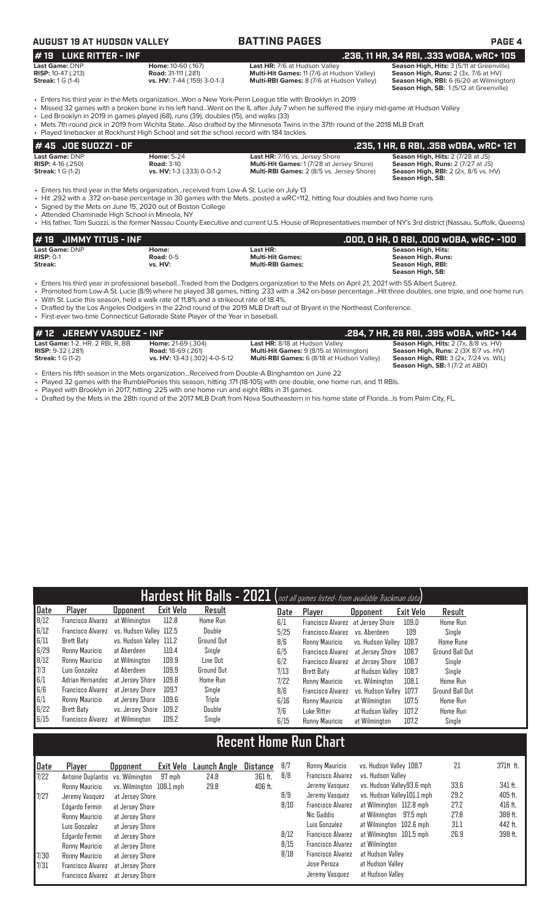## **AUGUST 19 AT HUDSON VALLEY BATTING PAGES PAGE 4**

- 
- **Last Game:** DNP **Home:** 10-60 (.167) **Last HR:** 7/6 at Hudson Valley **Season High, Hits:** 3 (5/11 at Greenville) **RISP:** 10-47 (.213) **Road:** 31-111 (.281) **Multi-Hit Games:** 11 (7/6 at Hudson Valley) **Season High, Runs:** 2 (3x, 7/6 at HV) **Star Games: 1 G (1-4)**<br>**RISP:** 10-47 (.213) **Road:** 31-111 (.281) **Multi-Hit Games:** 11 (7/6 at Hudson Valley) **Streak:** 1 G (1-4) **vs. HV:** 7-44 (.159) 3-0-1-3 **Multi-RBI Games:** 8 (7/6 at Hudson Valley)

**# 19 LUKE RITTER - INF**<br>
Last HR: 7/6 at Hudson Valley **.236, 11 HR, 34 RBI, .333 wOBA, wRC+ 105**<br>
RISP: 10-47 (.213) Road: 31-111 (.281) **Riseau: 31-111 (.281)** Multi-Hit Games: 11 (7/6 at Hudson Valley) Season High, Run **Season High, Runs:** 2 (3x, 7/6 at HVI)<br>**Season High, Runs:** 2 (3x, 7/6 at HV)<br>**Season High, RBI:** 6 (6/20 at Wilmington)<br>**Season High, SB:** 1 (5/12 at Greenville)

- Enters his third year in the Mets organization...Won a New York-Penn League title with Brooklyn in 2019 • Missed 32 games with a broken bone in his left hand...Went on the IL after July 7 when he suffered the injury mid-game at Hudson Valley
- Led Brooklyn in 2019 in games played (68), runs (39), doubles (15), and walks (33)
- Mets 7th-round pick in 2019 from Wichita State...Also drafted by the Minnesota Twins in the 37th round of the 2018 MLB Draft
- Played linebacker at Rockhurst High School and set the school record with 184 tackles.

| 1# 45  JOE SUOZZI - OF         |                            |                                                  | . 235, 1 HR, 6 RBI, .358 wOBA, wRC+ 121'    |
|--------------------------------|----------------------------|--------------------------------------------------|---------------------------------------------|
| <b>Last Game: DNP</b>          | <b>Home: 5-24</b>          | <b>Last HR:</b> 7/16 vs. Jersey Shore            | <b>Season High, Hits: 2 (7/28 at JS)</b>    |
| <b>RISP:</b> $4-16$ ( $.250$ ) | <b>Road: 3-10</b>          | <b>Multi-Hit Games: 1(7/28 at Jersey Shore)</b>  | <b>Season High, Runs: 2 (7/27 at JS)</b>    |
| <b>Streak:</b> 1 G (1-2)       | vs. HV: 1-3 (.333) 0-0-1-2 | <b>Multi-RBI Games:</b> 2 (8/5 vs. Jersey Shore) | <b>Season High, RBI:</b> 2 (2x, 8/5 vs. HV) |
|                                |                            |                                                  | Season High, SB:                            |

• Enters his third year in the Mets organization...received from Low-A St. Lucie on July 13

• Hit .292 with a .372 on-base percentage in 30 games with the Mets...posted a wRC+112, hitting four doubles and two home runs

• Signed by the Mets on June 15, 2020 out of Boston College

- Attended Chaminade High School in Mineola, NY
- His father, Tom Suozzi, is the former Nassau County Executive and current U.S. House of Representatives member of NY's 3rd district (Nassau, Suffolk, Queens)

| $#$ 19 JIMMY TITUS - INF |             |                         | .000, 0 HR, 0 RBI, .000 w0BA, wRC+ -100 |
|--------------------------|-------------|-------------------------|-----------------------------------------|
| Last Game: DNP           | Home:       | Last HR:                | Season High, Hits:                      |
| $RISP: 0-1$              | Road: $0-5$ | <b>Multi-Hit Games:</b> | <b>Season High, Runs:</b>               |
| Streak:                  | vs. HV:     | <b>Multi-RBI Games:</b> | Season High, RBI:                       |
|                          |             |                         | Season High, SB:                        |

• Enters his third year in professional baseball...Traded from the Dodgers organization to the Mets on April 21, 2021 with SS Albert Suarez.

- Promoted from Low-A St. Lucie (8/9) where he played 38 games, hitting .233 with a .342 on-base percentage...Hit three doubles, one triple, and one home run. • With St. Lucie this season, held a walk rate of 11.8% and a strikeout rate of 18.4%.
- Drafted by the Los Angeles Dodgers in the 22nd round of the 2019 MLB Draft out of Bryant in the Northeast Conference.
- First-ever two-time Connecticut Gatorade State Player of the Year in baseball.

| #12 JEREMY VASQUEZ - INF                |                               |                                                   | , .284, 7 HR, 26 RBI, .395 wOBA, wRC+ 144'    |
|-----------------------------------------|-------------------------------|---------------------------------------------------|-----------------------------------------------|
| <b>Last Game:</b> 1-2, HR, 2 RBI, R, BB | <b>Home: 21-69 (.304)</b>     | <b>Last HR:</b> 8/18 at Hudson Valley             | Season High, Hits: 2 (7x, 8/8 vs. HV)         |
| <b>RISP:</b> $9-32$ (.281)              | <b>Road:</b> 18-69 (.261)     | <b>Multi-Hit Games:</b> 9 (8/15 at Wilmington)    | Season High, Runs: 2 (3X 8/7 vs. HV)          |
| <b>Streak:</b> $1 \text{ G } (1-2)$     | vs. HV: 13-43 (.302) 4-0-5-12 | <b>Multi-RBI Games:</b> 6 (8/18 at Hudson Valley) | <b>Season High, RBI: 3 (2x, 7/24 vs. WIL)</b> |
|                                         |                               |                                                   | <b>Season High, SB: 1 (7/2 at ABD)</b>        |
|                                         |                               |                                                   |                                               |

- Enters his fifth season in the Mets organization...Received from Double-A Binghamton on June 22 Played 32 games with the RumblePonies this season, hitting .171 (18-105) with one double, one home run, and 11 RBIs.
- Played with Brooklyn in 2017, hitting .225 with one home run and eight RBIs in 31 games.
- Drafted by the Mets in the 28th round of the 2017 MLB Draft from Nova Southeastern in his home state of Florida...Is from Palm City, FL.

|      | Hardest Hit Balls - 2021 (not all games listed- from available Trackman data) |                         |                  |            |      |                                   |                         |           |                  |  |  |
|------|-------------------------------------------------------------------------------|-------------------------|------------------|------------|------|-----------------------------------|-------------------------|-----------|------------------|--|--|
| Date | Player                                                                        | Upponent                | <b>Exit Velo</b> | Result     | Date | Player                            | <b>Opponent</b>         | Exit Velo | Result           |  |  |
| 8/12 | <b>Francisco Alvarez</b>                                                      | at Wilmington           | 112.8            | Home Run   | 6/1  | Francisco Alvarez at Jersey Shore |                         | 109.0     | Home Run         |  |  |
| 6/12 | Francisco Alvarez                                                             | vs. Hudson Valley 112.5 |                  | Double     | 5/25 | Francisco Alvarez vs. Aberdeen    |                         | 109       | Single           |  |  |
| 6/11 | Brett Baty                                                                    | vs. Hudson Valley 111.2 |                  | Ground Out | 8/6  | Ronny Mauricio                    | vs. Hudson Valley 108.7 |           | <b>Home Rune</b> |  |  |
| 6/29 | Ronny Mauricio                                                                | at Aberdeen             | 110.4            | Single     | 6/5  | Francisco Alvarez                 | at Jersev Shore         | 108.7     | Ground Ball Out  |  |  |
| 8/12 | Ronny Mauricio                                                                | at Wilmington           | 109.9            | Line Out   | 6/2  | <b>Francisco Alvarez</b>          | at Jersev Shore         | 108.7     | Single           |  |  |
| 7/3  | Luis Gonzalez                                                                 | at Aberdeen             | 109.9            | Ground Out | 7/13 | <b>Brett Baty</b>                 | at Hudson Valley        | 108.7     | Sinale           |  |  |
| 6/1  | Adrian Hernandez                                                              | at Jersev Shore         | 109.8            | Home Run   | 7/22 | Ronny Mauricio                    | vs. Wilminaton          | 108.1     | <b>Home Run</b>  |  |  |
| 6/6  | Francisco Alvarez                                                             | at Jersev Shore         | 109.7            | Single     | 8/6  | Francisco Alvarez                 | vs. Hudson Valley 107.7 |           | Ground Ball Out  |  |  |
| 6/1  | Ronny Mauricio                                                                | at Jersev Shore         | 109.6            | Triple     | 6/16 | Ronny Mauricio                    | at Wilmington           | 107.5     | Home Run         |  |  |
| 6/22 | Brett Baty                                                                    | vs. Jersey Shore        | 109.2            | Double     | 7/6  | Luke Ritter                       | at Hudson Valley        | 107.2     | Home Run         |  |  |
| 6/15 | Francisco Alvarez                                                             | at Wilmington           | 109.2            | Single     | 6/15 | Ronny Mauricio                    | at Wilmington           | 107.2     | Single           |  |  |

# **Recent Home Run Chart**

| Date                                           | Player                            | <b>Opponent</b>          | Exit Velo | Launch Angle | <b>Distance</b> | 8/7  | Ronny Mauricio           | vs. Hudson Valley 108.7    | 21   | 371ft ft. |
|------------------------------------------------|-----------------------------------|--------------------------|-----------|--------------|-----------------|------|--------------------------|----------------------------|------|-----------|
| 7/22                                           | Antoine Duplantis vs. Wilmington  |                          | 97 mph    | 24.8         | 361 ft.         | 8/8  | <b>Francisco Alvarez</b> | vs. Hudson Valley          |      |           |
|                                                | Ronny Mauricio                    | vs. Wilminaton 108.1 mph |           | 29.8         | 406 ft.         |      | Jeremy Vasquez           | vs. Hudson Valley93.6 mph  | 33.6 | 341 ft.   |
| 7/27                                           | Jeremy Vasquez                    | at Jersev Shore          |           |              |                 | 8/9  | Jeremy Vasquez           | vs. Hudson Valley101.1 mph | 29.2 | 405 ft.   |
|                                                | Edgardo Fermin                    | at Jersey Shore          |           |              |                 | 8/10 | <b>Francisco Alvarez</b> | at Wilmington 112.8 mph    | 27.2 | 416 ft.   |
|                                                | Ronny Mauricio                    | at Jersey Shore          |           |              |                 |      | Nic Gaddis               | at Wilmington 97.5 mph     | 27.8 | 388 ft.   |
|                                                | Luis Gonzalez                     | at Jersey Shore          |           |              |                 |      | Luis Gonzalez            | at Wilmington 102.6 mph    | 31.1 | 442 ft.   |
|                                                | Edgardo Fermin                    | at Jersey Shore          |           |              |                 | 8/12 | <b>Francisco Alvarez</b> | at Wilmington 101.5 mph    | 26.9 | 398 ft.   |
|                                                | Ronny Mauricio                    | at Jersey Shore          |           |              |                 | 8/15 | <b>Francisco Alvarez</b> | at Wilmington              |      |           |
| $\begin{array}{c} \n7/30 \\ 7/31\n\end{array}$ | Ronny Mauricio                    | at Jersey Shore          |           |              |                 | 8/18 | <b>Francisco Alvarez</b> | at Hudson Valley           |      |           |
|                                                | Francisco Alvarez                 | at Jersev Shore          |           |              |                 |      | Jose Peroza              | at Hudson Vallev           |      |           |
|                                                | Francisco Alvarez at Jersey Shore |                          |           |              |                 |      | Jeremy Vasquez           | at Hudson Valley           |      |           |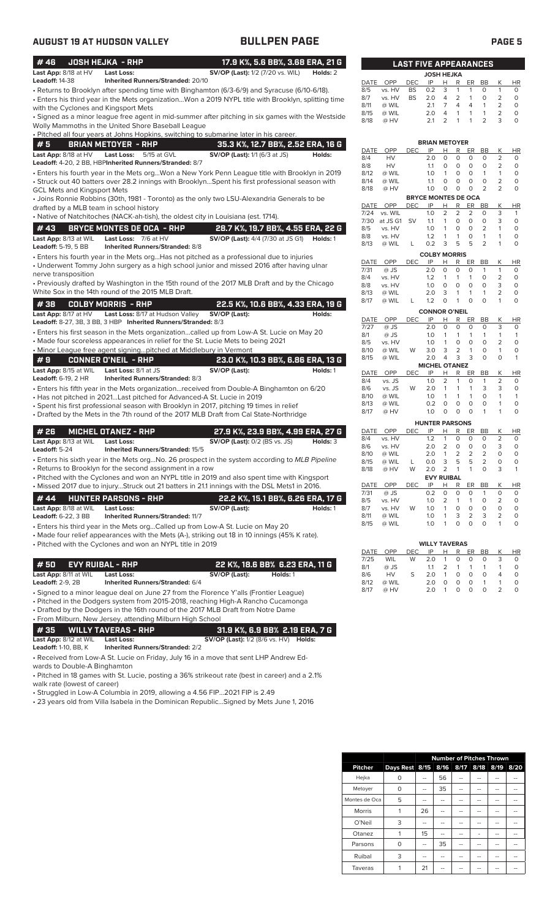| #46                                                 | <b>JOSH HEJKA - RHP</b>                                                            | 17.9 K%, 5.6 BB%, 3.68 ERA, 21 G                                                                                                                                     |          |                     |                  |            | <b>LAST FIVE APPEARANCES</b>      |                         |                     |                                |                         |                                  |                     |
|-----------------------------------------------------|------------------------------------------------------------------------------------|----------------------------------------------------------------------------------------------------------------------------------------------------------------------|----------|---------------------|------------------|------------|-----------------------------------|-------------------------|---------------------|--------------------------------|-------------------------|----------------------------------|---------------------|
| Last App: 8/18 at HV                                | <b>Last Loss:</b>                                                                  | <b>SV/OP (Last):</b> 1/2 (7/20 vs. WIL)                                                                                                                              | Holds: 2 |                     |                  |            | <b>JOSH HEJKA</b>                 |                         |                     |                                |                         |                                  |                     |
| Leadoff: 14-38                                      | Inherited Runners/Stranded: 20/10                                                  |                                                                                                                                                                      |          | DATE                | OPP              | DEC        | IP                                | н                       | R                   | ER                             | BB                      | Κ                                | HI                  |
|                                                     |                                                                                    | - Returns to Brooklyn after spending time with Binghamton (6/3-6/9) and Syracuse (6/10-6/18).                                                                        |          | 8/5                 | vs. HV           | <b>BS</b>  | 0.2                               | 3                       | $\mathbf{1}$        | $\mathbf{1}$                   | 0                       | $\mathbf{1}$                     | $\circ$             |
|                                                     |                                                                                    | Enters his third year in the Mets organizationWon a 2019 NYPL title with Brooklyn, splitting time                                                                    |          | 8/7<br>8/11         | vs. HV<br>@ WIL  | <b>BS</b>  | 2.0<br>2.1                        | 4<br>7                  | $\overline{2}$<br>4 | $\mathbf{1}$<br>$\overline{4}$ | $\circ$<br>$\mathbf{1}$ | $\overline{2}$<br>$\overline{2}$ | 0<br>$\circ$        |
| with the Cyclones and Kingsport Mets                |                                                                                    | · Signed as a minor league free agent in mid-summer after pitching in six games with the Westside                                                                    |          | 8/15                | @ WIL            |            | 2.0                               | 4                       | 1                   | $\mathbf{1}$                   | 1                       | $\overline{2}$                   | 0                   |
|                                                     | Wolly Mammoths in the United Shore Baseball League                                 |                                                                                                                                                                      |          | 8/18                | @ HV             |            | 2.1                               | $\overline{2}$          | 1                   | 1                              | $\overline{2}$          | 3                                | $\Omega$            |
|                                                     |                                                                                    | • Pitched all four years at Johns Hopkins, switching to submarine later in his career.                                                                               |          |                     |                  |            |                                   |                         |                     |                                |                         |                                  |                     |
| #5                                                  | <b>BRIAN METOYER - RHP</b>                                                         | 35.3 K%, 12.7 BB%, 2.52 ERA, 16 G                                                                                                                                    |          |                     |                  |            | <b>BRIAN METOYER</b>              |                         |                     |                                |                         |                                  |                     |
| Last App: 8/18 at HV                                | Last Loss:<br>5/15 at GVL                                                          | <b>SV/OP (Last):</b> 1/1 (6/3 at JS)                                                                                                                                 | Holds:   | DATE                | OPP              | <b>DEC</b> | IP                                | н                       | R                   | ER                             | BB                      | Κ                                | HI                  |
|                                                     | Leadoff: 4-20, 2 BB, HBPInherited Runners/Stranded: 8/7                            |                                                                                                                                                                      |          | 8/4<br>8/8          | HV<br>HV         |            | 2.0<br>1.1                        | $\circ$<br>$\circ$      | 0<br>$\mathbf 0$    | $\circ$<br>0                   | 0<br>0                  | $\overline{2}$<br>2              | 0<br>0              |
|                                                     |                                                                                    | · Enters his fourth year in the Mets orgWon a New York Penn League title with Brooklyn in 2019                                                                       |          | 8/12                | @ WIL            |            | 1.0                               | $\mathbf{1}$            | 0                   | $\circ$                        | $\mathbf{1}$            | $\mathbf{1}$                     | 0                   |
|                                                     |                                                                                    | Struck out 40 batters over 28.2 innings with BrooklynSpent his first professional season with                                                                        |          | 8/14                | @ WIL            |            | 1.1                               | 0                       | 0                   | 0                              | $\mathbf 0$             | $\overline{2}$                   | 0                   |
| GCL Mets and Kingsport Mets                         |                                                                                    |                                                                                                                                                                      |          | 8/18                | @ HV             |            | 1.0<br><b>BRYCE MONTES DE OCA</b> | O                       | 0                   | $\mathbf 0$                    | $\overline{2}$          | $\overline{2}$                   | 0                   |
|                                                     |                                                                                    | • Joins Ronnie Robbins (30th, 1981 - Toronto) as the only two LSU-Alexandria Generals to be                                                                          |          | DATE                | OPP              | <b>DEC</b> | IP                                | H.                      | R                   | ER                             | BB                      | Κ                                | HI                  |
| drafted by a MLB team in school history             | • Native of Natchitoches (NACK-ah-tish), the oldest city in Louisiana (est. 1714). |                                                                                                                                                                      |          | 7/24                | vs. WIL          |            | 1.0                               | $\overline{2}$          | $\overline{2}$      | 2                              | O                       | 3                                | -1                  |
|                                                     |                                                                                    |                                                                                                                                                                      |          | 7/30                | at JS G1         | <b>SV</b>  | 1.1                               | $\mathbf{1}$            | 0                   | $\circ$                        | 0                       | 3                                | $\mathbf 0$         |
| #43                                                 | <b>BRYCE MONTES DE OCA - RHP</b>                                                   | 28.7 K%, 19.7 BB%, 4.55 ERA, 22 G                                                                                                                                    |          | 8/5<br>8/8          | vs. HV<br>vs. HV |            | 1.0<br>1.2                        | 1<br>1                  | 0<br>1              | 0<br>$\circ$                   | 2<br>1                  | $\mathbf{1}$<br>$\mathbf{1}$     | 0<br>0              |
| Last App: 8/13 at WIL<br>Leadoff: 5-19, 5 BB        | Last Loss: 7/6 at HV<br><b>Inherited Runners/Stranded: 8/8</b>                     | <b>SV/OP (Last):</b> 4/4 (7/30 at JS G1) <b>Holds:</b> 1                                                                                                             |          | 8/13                | @ WIL            | L          | 0.2                               | 3                       | 5                   | 5                              | $\overline{2}$          | 1                                | 0                   |
|                                                     |                                                                                    | · Enters his fourth year in the Mets orgHas not pitched as a professional due to injuries                                                                            |          |                     |                  |            | <b>COLBY MORRIS</b>               |                         |                     |                                |                         |                                  |                     |
|                                                     |                                                                                    | • Underwent Tommy John surgery as a high school junior and missed 2016 after having ulnar                                                                            |          | DATE                | OPP              | <b>DEC</b> | IP                                | H                       | R                   | ER                             | BB                      | Κ                                | HI                  |
| nerve transposition                                 |                                                                                    |                                                                                                                                                                      |          | 7/31<br>8/4         | @ JS<br>vs. HV   |            | 2.0<br>1.2                        | $\circ$<br>$\mathbf{1}$ | 0<br>1              | 0<br>$\mathbf{1}$              | $\mathbf{1}$<br>O       | $\mathbf{1}$<br>$\overline{2}$   | 0<br>0              |
|                                                     |                                                                                    | • Previously drafted by Washington in the 15th round of the 2017 MLB Draft and by the Chicago                                                                        |          | 8/8                 | vs. HV           |            | 1.0                               | $\circ$                 | 0                   | $\circ$                        | 0                       | 3                                | 0                   |
|                                                     | White Sox in the 14th round of the 2015 MLB Draft.                                 |                                                                                                                                                                      |          | 8/13                | @ WIL            |            | 2.0                               | 3                       | 1                   | $\mathbf{1}$                   | $\mathbf{1}$            | 2                                | 0                   |
| #38                                                 | COLBY MORRIS - RHP                                                                 | 22.5 K%, 10.6 BB%, 4.33 ERA, 19 G                                                                                                                                    |          | 8/17                | @ WIL            | L          | 1.2                               | 0                       | 1                   | $\circ$                        | 0                       | 1                                | 0                   |
| Last App: 8/17 at HV                                | Last Loss: 8/17 at Hudson Valley                                                   | SV/OP (Last):                                                                                                                                                        | Holds:   |                     |                  |            | <b>CONNOR O'NEIL</b>              |                         |                     |                                |                         |                                  |                     |
|                                                     | Leadoff: 8-27, 3B, 3 BB, 3 HBP Inherited Runners/Stranded: 8/3                     |                                                                                                                                                                      |          | DATE<br>7/27        | OPP<br>@ JS      | <b>DEC</b> | IP<br>2.0                         | Н<br>O                  | R<br>0              | ER<br>0                        | BB<br>$\circ$           | Κ<br>3                           | HI<br>0             |
|                                                     |                                                                                    | • Enters his first season in the Mets organizationcalled up from Low-A St. Lucie on May 20                                                                           |          | 8/1                 | @ JS             |            | 1.0                               | 1                       | $\mathbf{1}$        | $\mathbf{1}$                   | 1                       | $\mathbf{1}$                     | 1                   |
|                                                     |                                                                                    | • Made four scoreless appearances in relief for the St. Lucie Mets to being 2021                                                                                     |          | 8/5                 | vs. HV           |            | 1.0                               | $\mathbf{1}$            | $\mathbf 0$         | $\mathbf 0$                    | $\mathbf 0$             | $\overline{2}$                   | 0                   |
|                                                     | • Minor League free agent signingpitched at Middlebury in Vermont                  |                                                                                                                                                                      |          | 8/10<br>8/15        | @ WIL<br>@ WIL   | W          | 3.0<br>2.0                        | 3<br>4                  | 2<br>3              | $\mathbf{1}$<br>3              | $\mathbf 0$<br>$\Omega$ | 1<br>$\circ$                     | 0<br>1              |
| #9                                                  | CONNER O'NEIL  - RHP                                                               | 23.0 K%, 10.3 BB%, 6.86 ERA, 13 G                                                                                                                                    |          |                     |                  |            | <b>MICHEL OTANEZ</b>              |                         |                     |                                |                         |                                  |                     |
| Last App: 8/15 at WIL<br><b>Leadoff:</b> 6-19, 2 HR | <b>Last Loss: 8/1 at JS</b><br>Inherited Runners/Stranded: 8/3                     | SV/OP (Last):                                                                                                                                                        | Holds: 1 | DATE                | OPP              | <b>DEC</b> | IP                                | н                       | R                   | ER                             | BB                      | Κ                                | HI                  |
|                                                     |                                                                                    | • Enters his fifth year in the Mets organization…received from Double-A Binghamton on 6/20                                                                           |          | 8/4<br>8/6          | vs. JS<br>vs. JS | W          | 1.0<br>2.0                        | 2<br>1                  | 1<br>$\mathbf{1}$   | 0<br>$\mathbf{1}$              | 1<br>3                  | 2<br>3                           | 0<br>0              |
|                                                     | • Has not pitched in 2021Last pitched for Advanced-A St. Lucie in 2019             |                                                                                                                                                                      |          | 8/10                | @ WIL            |            | 1.0                               | 1                       | 1                   | $\mathbf{1}$                   | 0                       | $\mathbf{1}$                     | 1                   |
|                                                     |                                                                                    | • Spent his first professional season with Brooklyn in 2017, pitching 19 times in relief                                                                             |          | 8/13                | @ WIL            |            | 0.2                               | 0                       | 0                   | 0                              | 0                       | $\mathbf{1}$                     | 0                   |
|                                                     |                                                                                    | • Drafted by the Mets in the 7th round of the 2017 MLB Draft from Cal State-Northridge                                                                               |          | 8/17                | @ HV             |            | 1.0                               | 0                       | 0                   | $\Omega$                       | 1                       | 1                                | 0                   |
|                                                     |                                                                                    |                                                                                                                                                                      |          |                     |                  |            | <b>HUNTER PARSONS</b>             |                         |                     |                                |                         |                                  |                     |
| # 26                                                | <b>MICHEL OTANEZ - RHP</b>                                                         | 27.9 K%, 23.9 BB%, 4.99 ERA, 27 G                                                                                                                                    |          | DATE<br>8/4         | OPP<br>vs. HV    | <b>DEC</b> | IP<br>1.2                         | н<br>1                  | R<br>0              | ER<br>0                        | BB<br>O                 | Κ<br>2                           | HI<br>$\circ$       |
| Last App: 8/13 at WIL<br>Leadoff: 5-24              | <b>Last Loss:</b><br><b>Inherited Runners/Stranded: 15/5</b>                       | <b>SV/OP (Last): 0/2 (BS vs. JS)</b>                                                                                                                                 | Holds: 3 | 8/6                 | vs. HV           |            | 2.0                               | $\overline{2}$          | 0                   | $\circ$                        | 0                       | 3                                | 0                   |
|                                                     |                                                                                    | Enters his sixth year in the Mets orgNo. 26 prospect in the system according to MLB Pipeline .                                                                       |          | 8/10                | @ WIL            |            | 2.0                               | $\mathbf{1}$            | 2                   | 2                              | 2                       | $\Omega$                         | $\Omega$            |
|                                                     | Returns to Brooklyn for the second assignment in a row                             |                                                                                                                                                                      |          | 8/15<br>8/18        | @ WIL<br>@ HV    | L<br>W     | 0.0<br>2.0                        | 3<br>2                  | 5<br>$\mathbf{1}$   | 5<br>$\mathbf{1}$              | 2<br>0                  | 0<br>3                           | 0<br>1              |
|                                                     |                                                                                    | . Pitched with the Cyclones and won an NYPL title in 2019 and also spent time with Kingsport                                                                         |          |                     |                  |            | <b>EVY RUIBAL</b>                 |                         |                     |                                |                         |                                  |                     |
|                                                     |                                                                                    | . Missed 2017 due to injuryStruck out 21 batters in 21.1 innings with the DSL Mets1 in 2016.                                                                         |          | DATE                | OPP              | <b>DEC</b> | IP                                | H                       | R                   | ER                             | <b>BB</b>               | Κ                                | HI                  |
| #44                                                 | <b>HUNTER PARSONS - RHP</b>                                                        | 22.2 K%, 15.1 BB%, 6.26 ERA, 17 G                                                                                                                                    |          | 7/31<br>8/5         | @ JS<br>vs. HV   |            | 0.2<br>1.0                        | 0<br>2                  | 0<br>1              | 0<br>$\mathbf{1}$              | 1<br>0                  | 0<br>2                           | 0<br>0              |
| Last App: 8/18 at WIL                               | <b>Last Loss:</b>                                                                  | SV/OP (Last):                                                                                                                                                        | Holds: 1 | 8/7                 | vs. HV           | W          | 1.0                               | 1                       | 0                   | $\mathsf O$                    | 0                       | 0                                | 0                   |
| Leadoff: 6-22, 3 BB                                 | <b>Inherited Runners/Stranded: 11/7</b>                                            |                                                                                                                                                                      |          | 8/11                | @ WIL            |            | 1.0                               | 1                       | 3                   | $\overline{2}$                 | 3                       | 2                                | 0                   |
|                                                     |                                                                                    | • Enters his third year in the Mets orgCalled up from Low-A St. Lucie on May 20                                                                                      |          | 8/15                | @ WIL            |            | 1.0                               | 1                       | 0                   | $\circ$                        | 0                       | $\mathbf{1}$                     | 0                   |
|                                                     |                                                                                    | Made four relief appearances with the Mets (A-), striking out 18 in 10 innings (45% K rate).                                                                         |          |                     |                  |            |                                   |                         |                     |                                |                         |                                  |                     |
|                                                     | Pitched with the Cyclones and won an NYPL title in 2019                            |                                                                                                                                                                      |          |                     |                  |            | <b>WILLY TAVERAS</b>              |                         |                     |                                |                         |                                  |                     |
|                                                     |                                                                                    |                                                                                                                                                                      |          | <b>DATE</b><br>7/25 | OPP<br>WIL       | DEC<br>W   | IP<br>2.0                         | н<br>1                  | R<br>0              | ER<br>0                        | BB<br>0                 | Κ<br>3                           | H <sub>1</sub><br>0 |
| #50                                                 | <b>EVY RUIBAL - RHP</b>                                                            | 22 K%, 18.6 BB% 6.23 ERA, 11 G                                                                                                                                       |          | 8/1                 | @ JS             |            | 1.1                               | 2                       | 1                   | $\mathbf{1}$                   | 1                       | $\mathbf{1}$                     | 0                   |
| Last App: 8/11 at WIL                               | <b>Last Loss:</b>                                                                  | SV/OP (Last):<br>Holds: 1                                                                                                                                            |          | 8/6                 | HV               | S          | 2.0                               | 1                       | 0                   | $\circ$                        | 0                       | 4                                | 0                   |
| <b>Leadoff:</b> 2-9, 2B                             | Inherited Runners/Stranded: 6/4                                                    |                                                                                                                                                                      |          | 8/12<br>8/17        | @ WIL<br>@ HV    |            | 2.0<br>2.0                        | 0<br>$\mathbf{1}$       | 0<br>$\mathbf 0$    | 0<br>$\circ$                   | $\mathbf{1}$<br>$\circ$ | $\mathbf{1}$<br>$\overline{2}$   | O<br>O              |
|                                                     |                                                                                    | • Signed to a minor league deal on June 27 from the Florence Y'alls (Frontier League)                                                                                |          |                     |                  |            |                                   |                         |                     |                                |                         |                                  |                     |
|                                                     |                                                                                    | • Pitched in the Dodgers system from 2015-2018, reaching High-A Rancho Cucamonga<br>• Drafted by the Dodgers in the 16th round of the 2017 MLB Draft from Notre Dame |          |                     |                  |            |                                   |                         |                     |                                |                         |                                  |                     |
|                                                     | • From Milburn, New Jersey, attending Milburn High School                          |                                                                                                                                                                      |          |                     |                  |            |                                   |                         |                     |                                |                         |                                  |                     |
| #35                                                 | <b>WILLY TAVERAS - RHP</b>                                                         | 31.9 K%, 6.9 BB% 2.19 ERA, 7 G                                                                                                                                       |          |                     |                  |            |                                   |                         |                     |                                |                         |                                  |                     |
| Last App: 8/12 at WIL                               | <b>Last Loss:</b>                                                                  | <b>SV/OP (Last):</b> 1/2 (8/6 vs. HV) <b>Holds:</b>                                                                                                                  |          |                     |                  |            |                                   |                         |                     |                                |                         |                                  |                     |
| <b>Leadoff:</b> 1-10, BB, K                         | <b>Inherited Runners/Stranded: 2/2</b>                                             |                                                                                                                                                                      |          |                     |                  |            |                                   |                         |                     |                                |                         |                                  |                     |
|                                                     |                                                                                    | • Received from Low-A St. Lucie on Friday, July 16 in a move that sent LHP Andrew Ed-                                                                                |          |                     |                  |            |                                   |                         |                     |                                |                         |                                  |                     |

wards to Double-A Binghamton • Pitched in 18 games with St. Lucie, posting a 36% strikeout rate (best in career) and a 2.1% walk rate (lowest of career)

• Struggled in Low-A Columbia in 2019, allowing a 4.56 FIP...2021 FIP is 2.49

• 23 years old from Villa Isabela in the Dominican Republic...Signed by Mets June 1, 2016

|                     |                |           | JOSH HEJKA                 |                     |                |           |           |                |                 |
|---------------------|----------------|-----------|----------------------------|---------------------|----------------|-----------|-----------|----------------|-----------------|
| DATE                | OPP            | DEC       | IP                         | Н                   | R              | ER        | <b>BB</b> | Κ              | ΗR              |
| 8/5                 | vs. HV         | <b>BS</b> | 0.2                        | 3                   | 1              | 1         | 0         | 1              | 0               |
| 8/7                 | vs. HV         | <b>BS</b> | 2.0                        | 4                   | $\overline{2}$ | 1         | 0         | 2              | 0               |
| 8/11                | @ WIL          |           | 2.1                        | 7                   | 4              | 4         | 1         | 2              | 0               |
| 8/15                | @ WIL          |           | 2.0                        | 4                   | 1              | 1         | 1         | $\overline{2}$ | 0               |
| 8/18                | @ HV           |           | 2.1                        | $\overline{2}$      | 1              | 1         | 2         | 3              | 0               |
|                     |                |           | <b>BRIAN METOYER</b>       |                     |                |           |           |                |                 |
| DATE                | OPP            | DEC       | IP                         | Н                   | R              | ER        | BВ        | Κ              | ΗR              |
| 8/4                 | HV             |           | 2.0                        | 0                   | 0              | 0         | 0         | 2              | 0               |
| 8/8                 | HV             |           | 1.1                        | 0                   | 0              | 0         | 0         | 2              | 0               |
| 8/12                | @ WIL          |           | 1.0                        | 1                   | 0              | 0         | 1         | 1              | 0               |
| 8/14                | @ WIL          |           | 1.1                        | 0                   | 0              | 0         | 0         | $\overline{2}$ | 0               |
| 8/18                | @ HV           |           | 1.0                        | 0                   | 0              | 0         | 2         | 2              | 0               |
|                     |                |           | <b>BRYCE MONTES DE OCA</b> |                     |                |           |           |                |                 |
| <b>DATE</b><br>7/24 | OPP<br>vs. WIL | DEC       | IP<br>1.0                  | Н<br>$\overline{2}$ | R<br>2         | ER<br>2   | BB<br>0   | Κ<br>3         | ΗR<br>1         |
| 7/30                | at JS G1       | SV        | 1.1                        | 1                   | 0              | 0         | 0         | 3              | 0               |
| 8/5                 | vs. HV         |           | 1.0                        | 1                   | 0              | 0         | 2         | 1              | 0               |
| 8/8                 | vs. HV         |           | 1.2                        | 1                   | 1              | 0         | 1         | 1              | 0               |
| 8/13                | @ WIL          | L         | 0.2                        | 3                   | 5              | 5         | 2         | 1              | 0               |
|                     |                |           | <b>COLBY MORRIS</b>        |                     |                |           |           |                |                 |
| DATE                | <b>OPP</b>     | DEC       | IP                         | н                   | R              | ER        | BB        | Κ              | $H\overline{R}$ |
| 7/31                | @ JS           |           | 2.0                        | 0                   | 0              | 0         | 1         | 1              | 0               |
| 8/4                 | vs. HV         |           | 1.2                        | 1                   | 1              | 1         | 0         | 2              | 0               |
| 8/8                 | vs. HV         |           | 1.0                        | $\mathbf 0$         | 0              | 0         | 0         | 3              | 0               |
| 8/13                | @ WIL          |           | 2.0                        | 3                   | 1              | 1         | 1         | 2              | 0               |
| 8/17                | @ WIL          | L         | 1.2                        | 0                   | 1              | O         | 0         | 1              | 0               |
|                     |                |           | <b>CONNOR O'NEIL</b>       |                     |                |           |           |                |                 |
| DATE                | OPP            | DEC       | IP                         | Н                   | R              | ER        | <b>BB</b> | Κ              | HR              |
| 7/27                | @ JS           |           | 2.0                        | 0                   | 0              | 0         | 0         | 3              | 0               |
| 8/1                 | @ JS           |           | 1.0                        | 1                   | 1              | 1         | 1         | 1              | 1               |
| 8/5                 | vs. HV         |           | 1.0                        | 1                   | 0              | 0         | 0         | $\overline{2}$ | 0               |
| 8/10                | @ WIL          | W         | 3.0                        | 3                   | 2              | 1         | 0         | 1              | 0               |
| 8/15                | @ WIL          |           | 2.0                        | 4                   | 3              | 3         | 0         | 0              | 1               |
| DATE                | OPP            | DEC       | <b>MICHEL OTANEZ</b><br>IP | Н                   | R              | ER        | ВB        | Κ              | ΗR              |
| 8/4                 | vs. JS         |           | 1.0                        | 2                   | 1              | 0         | 1         | 2              | 0               |
| 8/6                 | vs. JS         | W         | 2.0                        | 1                   | 1              | 1         | 3         | 3              | 0               |
| 8/10                | @ WIL          |           | 1.0                        | 1                   | 1              | 1         | 0         | 1              | 1               |
| 8/13                | @ WIL          |           | 0.2                        | 0                   | 0              | 0         | 0         | 1              | 0               |
| 8/17                | @ HV           |           | 1.0                        | 0                   | 0              | 0         | 1         | 1              | 0               |
|                     |                |           | <b>HUNTER PARSONS</b>      |                     |                |           |           |                |                 |
| DATE                | OPP            | DEC       | IP                         | Н                   | R              | ER        | <b>BB</b> | Κ              | ΗR              |
| 8/4                 | vs. HV         |           | 1.2                        | 1                   | 0              | 0         | 0         | 2              | 0               |
| 8/6                 | vs. HV         |           | 2.0                        | $\overline{2}$      | 0              | 0         | 0         | 3              | 0               |
| 8/10                | @ WIL          |           | 2.0                        | 1                   | 2              | 2         | 2         | 0              | 0               |
| 8/15                | @ WIL          | L         | 0.0                        | 3                   | 5              | 5         | 2         | 0              | 0               |
| 8/18                | @ HV           | W         | 2.0<br><b>EVY RUIBAL</b>   | $\overline{2}$      | 1              | 1         | 0         | 3              | 1               |
| DATE                | OPP            | DEC       | IP                         | Н                   | $\mathsf R$    | <u>ER</u> | <b>BB</b> | K              | HR              |
| 7/31                | $@$ JS         |           | 0.2                        | 0                   | 0              | 0         | 1         | 0              | 0               |
| 8/5                 | vs. HV         |           | 1.0                        | 2                   | 1              | 1         | 0         | 2              | 0               |
| 8/7                 | vs. HV         | W         | 1.0                        | 1                   | 0              | 0         | 0         | 0              | 0               |
| 8/11                | @ WIL          |           | 1.0                        | 1                   | 3              | 2         | 3         | 2              | 0               |
| 8/15                | @ WIL          |           | 1.0                        | 1                   | 0              | 0         | 0         | 1              | 0               |
|                     |                |           |                            |                     |                |           |           |                |                 |
|                     |                |           | <b>WILLY TAVERAS</b>       |                     |                |           |           |                |                 |
| DATE                | OPP<br>WIL     | DEC<br>W  | IP<br>2.0                  | Н<br>1              | R<br>0         | ER        | <u>BB</u> | Κ<br>3         | <u>HR</u>       |
| 7/25                |                |           |                            |                     |                | 0         | 0         |                | 0               |

|                | <b>Number of Pitches Thrown</b> |    |      |      |      |      |      |
|----------------|---------------------------------|----|------|------|------|------|------|
| <b>Pitcher</b> | Days Rest 8/15                  |    | 8/16 | 8/17 | 8/18 | 8/19 | 8/20 |
| Hejka          | U                               |    | 56   |      |      |      |      |
| Metoyer        | O                               |    | 35   |      |      |      |      |
| Montes de Oca  | 5                               |    | --   |      |      |      |      |
| <b>Morris</b>  |                                 | 26 |      |      |      |      |      |
| O'Neil         | 3                               |    |      |      |      |      |      |
| Otanez         |                                 | 15 | --   |      |      |      |      |
| Parsons        | 0                               |    | 35   |      |      |      |      |
| Ruibal         | 3                               |    |      |      |      |      |      |
| Taveras        |                                 | 21 |      |      |      |      |      |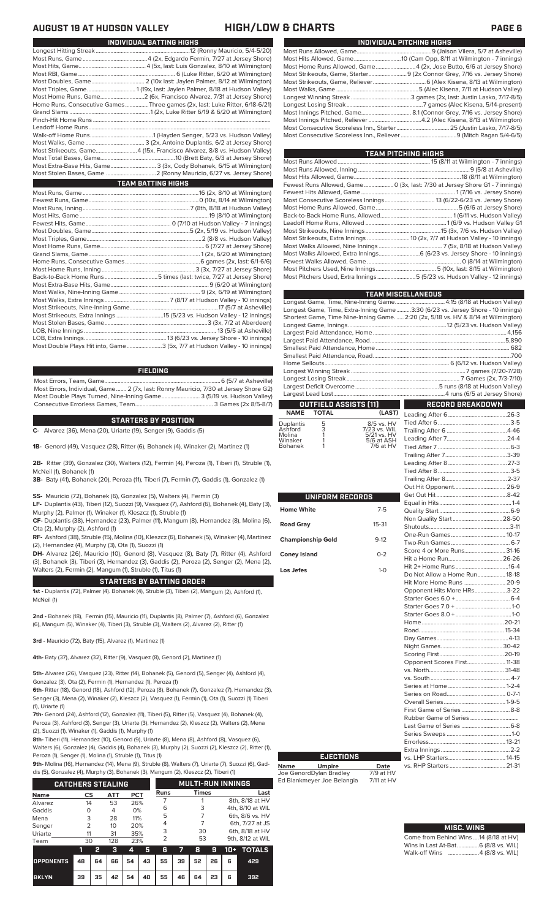| INDIVIDUAL PITCHING HIGHS |                                                                     |  |  |  |  |  |
|---------------------------|---------------------------------------------------------------------|--|--|--|--|--|
|                           |                                                                     |  |  |  |  |  |
|                           |                                                                     |  |  |  |  |  |
|                           | Most Home Runs Allowed, Game4 (2x, Jose Butto, 6/6 at Jersey Shore) |  |  |  |  |  |
|                           |                                                                     |  |  |  |  |  |
|                           |                                                                     |  |  |  |  |  |
|                           |                                                                     |  |  |  |  |  |
|                           |                                                                     |  |  |  |  |  |
|                           |                                                                     |  |  |  |  |  |
|                           |                                                                     |  |  |  |  |  |
|                           |                                                                     |  |  |  |  |  |
|                           |                                                                     |  |  |  |  |  |
|                           |                                                                     |  |  |  |  |  |

| TEAM PITCHING HIGHS                                                                   |  |
|---------------------------------------------------------------------------------------|--|
|                                                                                       |  |
|                                                                                       |  |
|                                                                                       |  |
| Fewest Runs Allowed, Game  0 (3x, last: 7/30 at Jersey Shore G1 - 7 innings)          |  |
|                                                                                       |  |
|                                                                                       |  |
|                                                                                       |  |
|                                                                                       |  |
|                                                                                       |  |
| Most Strikeouts, Nine Innings …………………………………………………………………15 (3x, 7/6 vs. Hudson Valley) |  |
| Most Strikeouts, Extra Innings  10 (2x, 7/7 at Hudson Valley - 10 innings)            |  |
|                                                                                       |  |
|                                                                                       |  |
|                                                                                       |  |
|                                                                                       |  |
| Most Pitchers Used, Extra Innings 5 (5/23 vs. Hudson Valley - 12 innings)             |  |
|                                                                                       |  |

|                                                                                    | <b>TEAM MISCELLANEOUS</b>                                          |
|------------------------------------------------------------------------------------|--------------------------------------------------------------------|
| Longest Game, Time, Nine-Inning Game 4:15 (8/18 at Hudson Valley)                  |                                                                    |
| Longest Game, Time, Extra-Inning Game3:30 (6/23 vs. Jersey Shore - 10 innings)     |                                                                    |
| Shortest Game, Time Nine-Inning Game.  2:20 (2x, 5/18 vs. HV & 8/14 at Wilmington) |                                                                    |
|                                                                                    |                                                                    |
|                                                                                    |                                                                    |
|                                                                                    |                                                                    |
|                                                                                    |                                                                    |
|                                                                                    |                                                                    |
|                                                                                    |                                                                    |
|                                                                                    |                                                                    |
|                                                                                    |                                                                    |
|                                                                                    |                                                                    |
|                                                                                    |                                                                    |
| OUTFIELD ASSISTS (11)                                                              | $\mathcal{L}^{\text{max}}_{\text{max}}$<br><b>RECORD BREAKDOWN</b> |

### **OUTFIELD ASSISTS (11) TOTAL** Duplantis 5 8/5 vs. HV<br>
Ashford 3 7/23 vs. WIL<br>
Molina 1 5/21 vs. HV<br>
Winaker 1 5/6 at ASH Leading After 6........................................26-3

| 7/23 vs. WIL    |
|-----------------|
| $5/21$ vs. $HV$ |
| 5/6 at ASH      |
| $7/6$ at HV     |
|                 |

|                          |           | .<br>Out                                                                                                                                                       |
|--------------------------|-----------|----------------------------------------------------------------------------------------------------------------------------------------------------------------|
| <b>UNIFORM RECORDS</b>   |           | Get                                                                                                                                                            |
| <b>Home White</b>        | $7 - 5$   | Equ<br>Qua                                                                                                                                                     |
| <b>Road Gray</b>         | $15 - 31$ | Nor<br>Shu                                                                                                                                                     |
| <b>Championship Gold</b> | $9-12$    | One<br>Two                                                                                                                                                     |
| <b>Coney Island</b>      | $0 - 2$   | Sco<br>Hit :                                                                                                                                                   |
| Los Jefes                | $1-0$     | Hit:<br>Do                                                                                                                                                     |
|                          |           | Hit I<br>Opr<br>Star<br>Star<br>Star<br>Hor<br>Roa<br>Day<br>Nig<br>Sco<br>Opr<br>vs.<br>VS.<br>Seri<br>Seri<br>Ove<br>Firs<br>Rub<br>Las <sup>-</sup><br>Sari |

| Score 4 or More Runs 31-16    |  |
|-------------------------------|--|
|                               |  |
|                               |  |
| Do Not Allow a Home Run 18-18 |  |
| Hit More Home Runs  20-9      |  |
| Opponent Hits More HRs3-22    |  |
|                               |  |
|                               |  |
|                               |  |
|                               |  |
|                               |  |
|                               |  |
|                               |  |
|                               |  |
| Opponent Scores First 11-38   |  |
|                               |  |
|                               |  |
|                               |  |
|                               |  |
|                               |  |
|                               |  |
|                               |  |
|                               |  |
|                               |  |
|                               |  |
|                               |  |

Tied After 6.................................................3-5

## Ed Blankmeyer Joe Belangia 7/11 at HV

**Name Umpire Date** Joe GenordDylan Bradley 7/9 at HV

**EJECTIONS**

| <b>MISC. WINS</b>                      |
|----------------------------------------|
| Come from Behind Wins  14 (8/18 at HV) |
| Wins in Last At-Bat 6 (8/8 vs. WIL)    |
| Walk-off Wins 4 (8/8 vs. WIL)          |

vs. LHP Starters.......................................14-15

vs. RHP Starters .

## **AUGUST 19 AT HUDSON VALLEY HIGH/LOW & CHARTS PAGE 6**

| INDIVIDUAL BATTING HIGHS                                                    |
|-----------------------------------------------------------------------------|
|                                                                             |
|                                                                             |
|                                                                             |
|                                                                             |
|                                                                             |
|                                                                             |
|                                                                             |
| Home Runs, Consecutive Games Three games (2x, last: Luke Ritter, 6/18-6/21) |
|                                                                             |
|                                                                             |
|                                                                             |
|                                                                             |
|                                                                             |
| Most Strikeouts, Game4 (15x, Francisco Alvarez, 8/8 vs. Hudson Valley)      |
|                                                                             |
| Most Extra-Base Hits, Game 3 (3x, Cody Bohanek, 6/15 at Wilmington)         |
|                                                                             |
| <b>TEAM BATTING HIGHS</b>                                                   |
|                                                                             |
|                                                                             |
|                                                                             |
|                                                                             |
|                                                                             |
|                                                                             |
|                                                                             |
|                                                                             |
|                                                                             |
|                                                                             |
|                                                                             |
|                                                                             |
|                                                                             |
|                                                                             |
|                                                                             |
|                                                                             |
|                                                                             |
|                                                                             |
|                                                                             |
|                                                                             |

**FIELDING**

Most Double Plays Hit into, Game........................3 (5x, 7/7 at Hudson Valley - 10 innings)

Most Errors, Team, Game...............................................................................6 (5/7 at Asheville) Most Errors, Individual, Game....... 2 (7x, last: Ronny Mauricio, 7/30 at Jersey Shore G2) Most Double Plays Turned, Nine-Inning Game.......................... 3 (5/19 vs. Hudson Valley) Consecutive Errorless Games, Team.

### **STARTERS BY POSITION**

**C-** Alvarez (36), Mena (20), Uriarte (19), Senger (9), Gaddis (5)

**1B-** Genord (49), Vasquez (28), Ritter (6), Bohanek (4), Winaker (2), Martinez (1)

**2B-** Ritter (39), Gonzalez (30), Walters (12), Fermin (4), Peroza (1), Tiberi (1), Struble (1), McNeil (1), Bohanek (1)

**3B-** Baty (41), Bohanek (20), Peroza (11), Tiberi (7), Fermin (7), Gaddis (1), Gonzalez (1)

**SS-** Mauricio (72), Bohanek (6), Gonzalez (5), Walters (4), Fermin (3)

**LF-** Duplantis (43), Tiberi (12), Suozzi (9), Vasquez (7), Ashford (6), Bohanek (4), Baty (3), Murphy (2), Palmer (1), Winaker (1), Kleszcz (1), Struble (1)

**CF-** Duplantis (38), Hernandez (23), Palmer (11), Mangum (8), Hernandez (8), Molina (6), Ota (2), Murphy (2), Ashford (1)

**RF-** Ashford (38), Struble (15), Molina (10), Kleszcz (6), Bohanek (5), Winaker (4), Martinez (2), Hernandez (4), Murphy (3), Ota (1), Suozzi (1)

**DH-** Alvarez (26), Mauricio (10), Genord (8), Vasquez (8), Baty (7), Ritter (4), Ashford (3), Bohanek (3), Tiberi (3), Hernandez (3), Gaddis (2), Peroza (2), Senger (2), Mena (2), Walters (2), Fermin (2), Mangum (1), Struble (1), Titus (1)

### **STARTERS BY BATTING ORDER**

**1st -** Duplantis (72), Palmer (4). Bohanek (4), Struble (3), Tiberi (2), Mangum (2), Ashford (1), McNeil (1)

**2nd -** Bohanek (18), Fermin (15), Mauricio (11), Duplantis (8), Palmer (7), Ashford (6), Gonzalez (6), Mangum (5), Winaker (4), Tiberi (3), Struble (3), Walters (2), Alvarez (2), Ritter (1)

**3rd -** Mauricio (72), Baty (15), Alvarez (1), Martinez (1)

**4th-** Baty (37), Alvarez (32), Ritter (9), Vasquez (8), Genord (2), Martinez (1)

**5th-** Alvarez (26), Vasquez (23), Ritter (14), Bohanek (5), Genord (5), Senger (4), Ashford (4), Gonzalez (3), Ota (2), Fermin (1), Hernandez (1), Peroza (1)

**6th-** Ritter (18), Genord (18), Ashford (12), Peroza (8), Bohanek (7), Gonzalez (7), Hernandez (3), Senger (3), Mena (2), Winaker (2), Kleszcz (2), Vasquez (1), Fermin (1), Ota (1), Suozzi (1) Tiber (1), Uriarte (1)

**7th-** Genord (24), Ashford (12), Gonzalez (11), Tiberi (5), Ritter (5), Vasquez (4), Bohanek (4), Peroza (3), Ashford (3), Senger (3), Uriarte (3), Hernandez (2), Kleszcz (2), Walters (2), Me (2), Suozzi (1), Winaker (1), Gaddis (1), Murphy (1)

**8th-** Tiberi (11), Hernandez (10), Genord (9), Uriarte (8), Mena (8), Ashford (8), Vasquez (6), Walters (6), Gonzalez (4), Gaddis (4), Bohanek (3), Murphy (2), Suozzi (2), Kleszcz (2), Ritter (1), Peroza (1), Senger (1), Molina (1), Struble (1), Titus (1)

**9th-** Molina (16), Hernandez (14), Mena (9), Struble (8), Walters (7), Uriarte (7), Suozzi (6), Gad-

| dis (5), Gonzalez (4), Murphy (3), Bohanek (3), Mangum (2), Kleszcz (2), Tiberi (1) |  |
|-------------------------------------------------------------------------------------|--|
|                                                                                     |  |

| <b>CATCHERS STEALING</b> |          |    |            |     |    |                      | <b>MULTI-RUN INNINGS</b> |              |                  |                 |                  |  |  |
|--------------------------|----------|----|------------|-----|----|----------------------|--------------------------|--------------|------------------|-----------------|------------------|--|--|
| <b>Name</b>              | CS       |    | <b>ATT</b> | PCT |    | <b>Runs</b>          |                          | <b>Times</b> |                  |                 | Last             |  |  |
| Alvarez                  | 14       |    | 53         | 26% |    |                      |                          |              |                  | 8th, 8/18 at HV |                  |  |  |
| Gaddis                   | $\Omega$ |    | 4          | 0%  |    | 6                    |                          | 3            |                  |                 | 4th, 8/10 at WIL |  |  |
| Mena                     | 3        |    | 28         | 11% |    | 5                    |                          |              |                  | 6th, 8/6 vs. HV |                  |  |  |
| Senger                   | フ        |    | 10         | 20% |    | 4                    |                          |              |                  | 6th, 7/27 at JS |                  |  |  |
| Uriarte                  | 11       |    | 31         | 35% |    | 3<br>30              |                          |              |                  | 6th, 8/18 at HV |                  |  |  |
| Team                     | 30       |    | 128        | 23% |    | $\overline{2}$<br>53 |                          |              | 9th, 8/12 at WIL |                 |                  |  |  |
|                          | 11       | 2  | з          | 4   | 5  | 6                    |                          | 8            | я                | 10+             | <b>TOTALS</b>    |  |  |
| <b>OPPONENTS</b>         | 48       | 64 | 66         | 54  | 43 | 55                   | 39                       | 52           | 26               | 6               | 429              |  |  |

**BKLYN 39 35 42 54 40 55 46 64 23 6 392**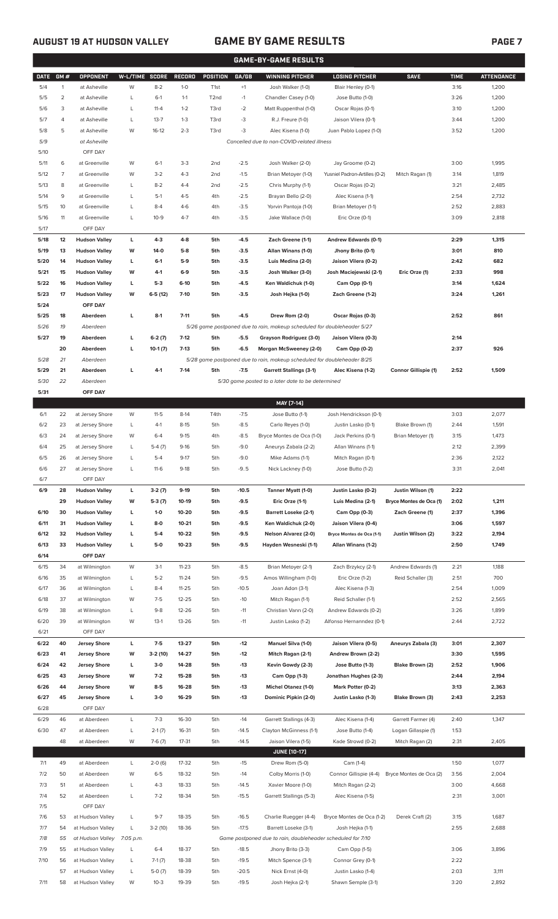## **AUGUST 19 AT HUDSON VALLEY GAME BY GAME RESULTS PAGE 7**

|             | <b>GAME-BY-GAME RESULTS</b> |                      |           |                |               |                   |         |                                                                         |                               |                         |             |                   |
|-------------|-----------------------------|----------------------|-----------|----------------|---------------|-------------------|---------|-------------------------------------------------------------------------|-------------------------------|-------------------------|-------------|-------------------|
| <b>DATE</b> | GM#                         | <b>OPPONENT</b>      |           | W-L/TIME SCORE | <b>RECORD</b> | <b>POSITION</b>   | GA/GB   | <b>WINNING PITCHER</b>                                                  | <b>LOSING PITCHER</b>         | <b>SAVE</b>             | <b>TIME</b> | <b>ATTENDANCE</b> |
| 5/4         | $\mathbf{1}$                | at Asheville         | W         | $8 - 2$        | $1-0$         | T <sub>1st</sub>  | $+1$    | Josh Walker (1-0)                                                       | Blair Henley (0-1)            |                         | 3:16        | 1,200             |
| 5/5         | $\overline{2}$              | at Asheville         | L         | $6-1$          | $1 - 1$       | T <sub>2</sub> nd | $-1$    | Chandler Casey (1-0)                                                    | Jose Butto (1-0)              |                         | 3:26        | 1,200             |
| 5/6         | 3                           | at Asheville         | L         | $11 - 4$       | $1 - 2$       | T3rd              | $-2$    | Matt Ruppenthal (1-0)                                                   | Oscar Rojas (0-1)             |                         | 3:10        | 1,200             |
|             |                             |                      |           |                |               |                   |         |                                                                         |                               |                         |             |                   |
| 5/7         | 4                           | at Asheville         | L         | $13 - 7$       | $1 - 3$       | T3rd              | -3      | R.J. Freure (1-0)                                                       | Jaison Vilera (0-1)           |                         | 3:44        | 1,200             |
| 5/8         | 5                           | at Asheville         | W         | $16-12$        | $2 - 3$       | T3rd              | -3      | Alec Kisena (1-0)                                                       | Juan Pablo Lopez (1-0)        |                         | 3:52        | 1,200             |
| 5/9         |                             | at Asheville         |           |                |               |                   |         | Cancelled due to non-COVID-related illness                              |                               |                         |             |                   |
| 5/10        |                             | OFF DAY              |           |                |               |                   |         |                                                                         |                               |                         |             |                   |
| 5/11        | 6                           | at Greenville        | W         | $6-1$          | $3-3$         | 2 <sub>nd</sub>   | $-2.5$  | Josh Walker (2-0)                                                       | Jay Groome (0-2)              |                         | 3:00        | 1,995             |
| 5/12        | $\overline{7}$              | at Greenville        | W         | $3-2$          | $4 - 3$       | 2 <sub>nd</sub>   | $-1.5$  | Brian Metoyer (1-0)                                                     | Yusniel Padron-Artilles (0-2) | Mitch Ragan (1)         | 3:14        | 1,819             |
| 5/13        | 8                           | at Greenville        | L         | $8 - 2$        | $4 - 4$       | 2 <sub>nd</sub>   | $-2.5$  | Chris Murphy (1-1)                                                      | Oscar Rojas (0-2)             |                         | 3:21        | 2,485             |
| 5/14        | 9                           | at Greenville        | L         | $5-1$          | $4 - 5$       | 4th               | $-2.5$  | Brayan Bello (2-0)                                                      | Alec Kisena (1-1)             |                         | 2:54        | 2,732             |
| 5/15        | 10                          | at Greenville        | L         | $8 - 4$        | $4-6$         | 4th               | $-3.5$  | Yorvin Pantoja (1-0)                                                    | Brian Metoyer (1-1)           |                         | 2:52        | 2,883             |
| 5/16        | 11                          | at Greenville        | L         | $10-9$         | $4 - 7$       | 4th               | $-3.5$  | Jake Wallace (1-0)                                                      | Eric Orze (0-1)               |                         | 3:09        | 2,818             |
| 5/17        |                             | OFF DAY              |           |                |               |                   |         |                                                                         |                               |                         |             |                   |
| 5/18        | 12                          | <b>Hudson Valley</b> | L         | $4-3$          | $4 - 8$       | 5th               | $-4.5$  | Zach Greene (1-1)                                                       | Andrew Edwards (0-1)          |                         | 2:29        | 1,315             |
| 5/19        | 13                          | <b>Hudson Valley</b> | W         | $14-0$         | $5-8$         | 5th               | $-3.5$  | Allan Winans (1-0)                                                      | Jhony Brito (0-1)             |                         | 3:01        | 810               |
|             |                             |                      |           |                |               |                   |         |                                                                         |                               |                         |             |                   |
| 5/20        | 14                          | <b>Hudson Valley</b> | г         | $6-1$          | $5-9$         | 5th               | $-3.5$  | Luis Medina (2-0)                                                       | Jaison Vilera (0-2)           |                         | 2:42        | 682               |
| 5/21        | 15                          | <b>Hudson Valley</b> | W         | $4-1$          | $6-9$         | 5th               | $-3.5$  | Josh Walker (3-0)                                                       | Josh Maciejewski (2-1)        | Eric Orze (1)           | 2:33        | 998               |
| 5/22        | 16                          | <b>Hudson Valley</b> | г         | $5-3$          | $6-10$        | 5th               | $-4.5$  | Ken Waldichuk (1-0)                                                     | Cam Opp (0-1)                 |                         | 3:14        | 1,624             |
| 5/23        | 17                          | <b>Hudson Valley</b> | W         | $6-5(12)$      | $7 - 10$      | 5th               | $-3.5$  | Josh Hejka (1-0)                                                        | Zach Greene (1-2)             |                         | 3:24        | 1,261             |
| 5/24        |                             | OFF DAY              |           |                |               |                   |         |                                                                         |                               |                         |             |                   |
| 5/25        | 18                          | Aberdeen             | г         | $8-1$          | $7 - 11$      | 5th               | $-4.5$  | Drew Rom (2-0)                                                          | Oscar Rojas (0-3)             |                         | 2:52        | 861               |
| 5/26        | 19                          | Aberdeen             |           |                |               |                   |         | 5/26 game postponed due to rain, makeup scheduled for doubleheader 5/27 |                               |                         |             |                   |
| 5/27        | 19                          | Aberdeen             | г         | $6-2(7)$       | $7 - 12$      | 5th               | $-5.5$  | Grayson Rodriguez (3-0)                                                 | Jaison Vilera (0-3)           |                         | 2:14        |                   |
|             | 20                          | Aberdeen             | г         | $10-1(7)$      | $7-13$        | 5th               | $-6.5$  | Morgan McSweeney (2-0)                                                  | Cam Opp (0-2)                 |                         | 2:37        | 926               |
| 5/28        | 21                          | Aberdeen             |           |                |               |                   |         | 5/28 game postponed due to rain, makeup scheduled for doubleheader 8/25 |                               |                         |             |                   |
| 5/29        | 21                          | Aberdeen             | г         | $4-1$          | $7-14$        | 5th               | $-7.5$  | <b>Garrett Stallings (3-1)</b>                                          | Alec Kisena (1-2)             | Connor Gillispie (1)    | 2:52        | 1,509             |
| 5/30        | 22                          | Aberdeen             |           |                |               |                   |         | 5/30 game posted to a later date to be determined                       |                               |                         |             |                   |
| 5/31        |                             | OFF DAY              |           |                |               |                   |         |                                                                         |                               |                         |             |                   |
|             |                             |                      |           |                |               |                   |         | MAY [7-14]                                                              |                               |                         |             |                   |
|             |                             |                      |           |                |               |                   |         |                                                                         |                               |                         |             |                   |
| 6/1         | 22                          | at Jersey Shore      | W         | $11-5$         | $8-14$        | T4th              | $-7.5$  | Jose Butto (1-1)                                                        | Josh Hendrickson (0-1)        |                         | 3:03        | 2,077             |
| 6/2         | 23                          | at Jersey Shore      | L         | $4-1$          | $8 - 15$      | 5th               | $-8.5$  | Carlo Reyes (1-0)                                                       | Justin Lasko (0-1)            | Blake Brown (1)         | 2:44        | 1,591             |
| 6/3         | 24                          | at Jersey Shore      | W         | $6 - 4$        | $9 - 15$      | 4th               | $-8.5$  | Bryce Montes de Oca (1-0)                                               | Jack Perkins (0-1)            | Brian Metoyer (1)       | 3:15        | 1,473             |
| 6/4         | 25                          | at Jersey Shore      | L         | $5-4(7)$       | $9-16$        | 5th               | $-9.0$  | Aneurys Zabala (2-2)                                                    | Allan Winans (1-1)            |                         | 2:12        | 2,399             |
| 6/5         | 26                          | at Jersey Shore      | L         | $5 - 4$        | $9 - 17$      | 5th               | $-9.0$  | Mike Adams (1-1)                                                        | Mitch Ragan (0-1)             |                         | 2:36        | 2,122             |
| 6/6         | 27                          | at Jersey Shore      | L         | $11-6$         | $9-18$        | 5th               | $-9.5$  | Nick Lackney (1-0)                                                      | Jose Butto (1-2)              |                         | 3:31        | 2,041             |
| 6/7         |                             | OFF DAY              |           |                |               |                   |         |                                                                         |                               |                         |             |                   |
| 6/9         | 28                          | <b>Hudson Valley</b> | г         | $3-2(7)$       | $9-19$        | 5th               | $-10.5$ | Tanner Myatt (1-0)                                                      | Justin Lasko (0-2)            | Justin Wilson (1)       | 2:22        |                   |
|             | 29                          | <b>Hudson Valley</b> | W         | $5-3(7)$       | 10-19         | 5th               | $-9.5$  | Eric Orze (1-1)                                                         | Luis Medina (2-1)             | Bryce Montes de Oca (1) | 2:02        | 1,211             |
| 6/10        | 30                          | <b>Hudson Valley</b> | г         | $1 - 0$        | 10-20         | 5th               | $-9.5$  | <b>Barrett Loseke (2-1)</b>                                             | Cam Opp (0-3)                 | Zach Greene (1)         | 2:37        | 1,396             |
| 6/11        | 31                          | <b>Hudson Valley</b> | г         | $8-0$          | $10 - 21$     | 5th               | $-9.5$  | Ken Waldichuk (2-0)                                                     | Jaison Vilera (0-4)           |                         | 3:06        | 1,597             |
| 6/12        | 32                          | <b>Hudson Valley</b> | г         | $5-4$          | 10-22         | 5th               | $-9.5$  | <b>Nelson Alvarez (2-0)</b>                                             | Bryce Montes de Oca (1-1)     | Justin Wilson (2)       | 3:22        | 2,194             |
| 6/13        | 33                          | <b>Hudson Valley</b> | г         | 5-0            | $10 - 23$     | 5th               | $-9.5$  | Hayden Wesneski (1-1)                                                   | Allan Winans (1-2)            |                         | 2:50        | 1,749             |
| 6/14        |                             | OFF DAY              |           |                |               |                   |         |                                                                         |                               |                         |             |                   |
|             |                             |                      |           |                |               |                   |         |                                                                         |                               |                         |             |                   |
| 6/15        | 34                          | at Wilmington        | W         | $3-1$          | $11 - 23$     | 5th               | $-8.5$  | Brian Metoyer (2-1)                                                     | Zach Brzykcy (2-1)            | Andrew Edwards (1)      | 2:21        | 1,188             |
| 6/16        | 35                          | at Wilmington        | L         | $5 - 2$        | $11 - 24$     | 5th               | $-9.5$  | Amos Willingham (1-0)                                                   | Eric Orze (1-2)               | Reid Schaller (3)       | 2:51        | 700               |
| 6/17        | 36                          | at Wilmington        | L         | $8 - 4$        | $11 - 25$     | 5th               | $-10.5$ | Joan Adon (3-1)                                                         | Alec Kisena (1-3)             |                         | 2:54        | 1,009             |
| 6/18        | 37                          | at Wilmington        | W         | $7-5$          | $12 - 25$     | 5th               | $-10$   | Mitch Ragan (1-1)                                                       | Reid Schaller (1-1)           |                         | 2:52        | 2,565             |
| 6/19        | 38                          | at Wilmington        | L         | $9 - 8$        | 12-26         | 5th               | $-11$   | Christian Vann (2-0)                                                    | Andrew Edwards (0-2)          |                         | 3:26        | 1,899             |
| 6/20        | 39                          | at Wilmington        | W         | $13-1$         | 13-26         | 5th               | $-11$   | Justin Lasko (1-2)                                                      | Alfonso Hernanndez (0-1)      |                         | 2:44        | 2,722             |
| 6/21        |                             | OFF DAY              |           |                |               |                   |         |                                                                         |                               |                         |             |                   |
| 6/22        | 40                          | <b>Jersey Shore</b>  | г         | $7-5$          | 13-27         | 5th               | -12     | <b>Manuel Silva (1-0)</b>                                               | Jaison Vilera (0-5)           | Aneurys Zabala (3)      | 3:01        | 2,307             |
| 6/23        | 41                          | <b>Jersey Shore</b>  | W         | $3-2(10)$      | 14-27         | 5th               | -12     | Mitch Ragan (2-1)                                                       | Andrew Brown (2-2)            |                         | 3:30        | 1,595             |
| 6/24        | 42                          | <b>Jersey Shore</b>  | L         | $3-0$          | 14-28         | 5th               | $-13$   | Kevin Gowdy (2-3)                                                       | Jose Butto (1-3)              | Blake Brown (2)         | 2:52        | 1,906             |
| 6/25        | 43                          | <b>Jersey Shore</b>  | W         | $7-2$          | 15-28         | 5th               | $-13$   | Cam Opp (1-3)                                                           | Jonathan Hughes (2-3)         |                         | 2:44        | 2,194             |
| 6/26        | 44                          | <b>Jersey Shore</b>  | W         | $8-5$          | 16-28         | 5th               | $-13$   | <b>Michel Otanez (1-0)</b>                                              | Mark Potter (0-2)             |                         | 3:13        | 2,363             |
| 6/27        | 45                          | <b>Jersey Shore</b>  | L         | $3-0$          | 16-29         | 5th               | $-13$   | Dominic Pipkin (2-0)                                                    | Justin Lasko (1-3)            | Blake Brown (3)         | 2:43        | 2,253             |
| 6/28        |                             | OFF DAY              |           |                |               |                   |         |                                                                         |                               |                         |             |                   |
| 6/29        | 46                          |                      | L         | $7-3$          | 16-30         | 5th               | $-14$   |                                                                         |                               |                         | 2:40        |                   |
|             |                             | at Aberdeen          |           |                |               |                   |         | Garrett Stallings (4-3)                                                 | Alec Kisena (1-4)             | Garrett Farmer (4)      |             | 1,347             |
| 6/30        | 47                          | at Aberdeen          | L         | $2-1(7)$       | 16-31         | 5th               | $-14.5$ | Clayton McGinness (1-1)                                                 | Jose Butto (1-4)              | Logan Gillaspie (1)     | 1:53        |                   |
|             | 48                          | at Aberdeen          | W         | $7-6(7)$       | 17-31         | 5th               | $-14.5$ | Jaison Vilera (1-5)                                                     | Kade Strowd (0-2)             | Mitch Ragan (2)         | 2:31        | 2,405             |
|             |                             |                      |           |                |               |                   |         | <b>JUNE [10-17]</b>                                                     |                               |                         |             |                   |
| 7/1         | 49                          | at Aberdeen          | L         | $2-0(6)$       | 17-32         | 5th               | $-15$   | Drew Rom (5-0)                                                          | Cam (1-4)                     |                         | 1:50        | 1,077             |
| 7/2         | 50                          | at Aberdeen          | W         | $6 - 5$        | 18-32         | 5th               | $-14$   | Colby Morris (1-0)                                                      | Connor Gillispie (4-4)        | Bryce Montes de Oca (2) | 3:56        | 2,004             |
| 7/3         | 51                          | at Aberdeen          | L         | $4 - 3$        | 18-33         | 5th               | $-14.5$ | Xavier Moore (1-0)                                                      | Mitch Ragan (2-2)             |                         | 3:00        | 4,668             |
| 7/4         | 52                          | at Aberdeen          | L         | $7 - 2$        | 18-34         | 5th               | $-15.5$ | Garrett Stallings (5-3)                                                 | Alec Kisena (1-5)             |                         | 2:31        | 3,001             |
| 7/5         |                             | OFF DAY              |           |                |               |                   |         |                                                                         |                               |                         |             |                   |
| 7/6         | 53                          | at Hudson Valley     | L         | $9 - 7$        | 18-35         | 5th               | $-16.5$ | Charlie Ruegger (4-4)                                                   | Bryce Montes de Oca (1-2)     | Derek Craft (2)         | 3:15        | 1,687             |
| 7/7         | 54                          | at Hudson Valley     | L         | $3-2(10)$      | 18-36         | 5th               | $-17.5$ | Barrett Loseke (3-1)                                                    | Josh Hejka (1-1)              |                         | 2:55        | 2,688             |
| 7/8         | 55                          | at Hudson Valley     | 7:05 p.m. |                |               |                   |         | Game postponed due to rain, doubleheader scheduled for 7/10             |                               |                         |             |                   |
| 7/9         | 55                          | at Hudson Valley     | L         | $6 - 4$        | 18-37         | 5th               | $-18.5$ | Jhony Brito (3-3)                                                       | Cam Opp (1-5)                 |                         | 3:06        | 3,896             |
| 7/10        | 56                          | at Hudson Valley     | L         | $7-1(7)$       | 18-38         | 5th               | $-19.5$ | Mitch Spence (3-1)                                                      | Connor Grey (0-1)             |                         | 2:22        |                   |
|             | 57                          | at Hudson Valley     | L         | $5-0(7)$       | 18-39         | 5th               | $-20.5$ | Nick Ernst (4-0)                                                        | Justin Lasko (1-4)            |                         | 2:03        | 3,111             |
|             | 58                          | at Hudson Valley     | W         | $10-3$         | 19-39         | 5th               | $-19.5$ | Josh Hejka (2-1)                                                        | Shawn Semple (3-1)            |                         | 3:20        | 2,892             |
| 7/11        |                             |                      |           |                |               |                   |         |                                                                         |                               |                         |             |                   |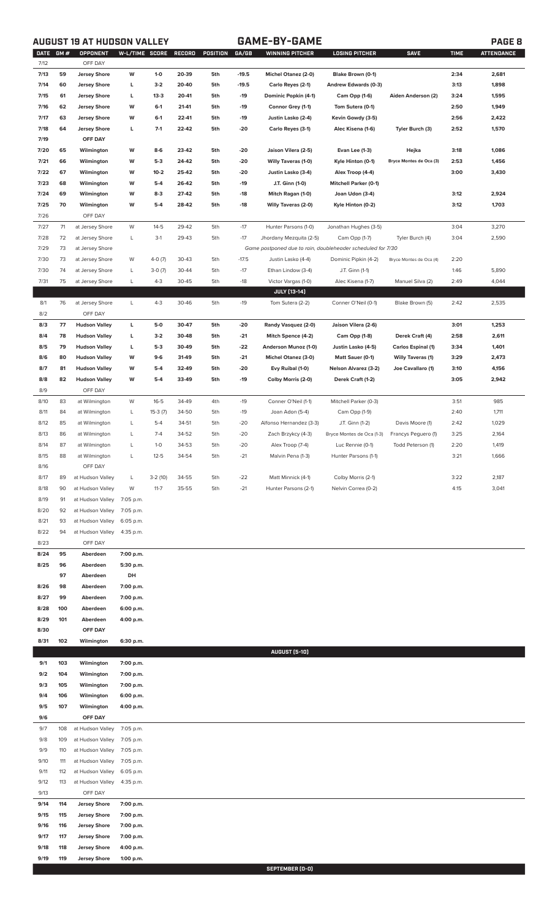# **AUGUST 19 AT HUDSON VALLEY GAME-BY-GAME PAGE 8**

|--|

| <b>DATE</b><br>7/12 | GM# | <b>OPPONENT</b><br>OFF DAY                 | W-L/TIME SCORE |           | RECORD | POSITION | GA/GB   | WINNING PITCHER                                             | <b>LOSING PITCHER</b>        | <b>SAVE</b>               | <b>TIME</b> | <b>ATTENDANCE</b> |
|---------------------|-----|--------------------------------------------|----------------|-----------|--------|----------|---------|-------------------------------------------------------------|------------------------------|---------------------------|-------------|-------------------|
| 7/13                | 59  |                                            | W              | $1-0$     | 20-39  | 5th      | $-19.5$ |                                                             |                              |                           | 2:34        | 2,681             |
| 7/14                | 60  | <b>Jersey Shore</b><br><b>Jersey Shore</b> | L              | $3-2$     | 20-40  | 5th      | $-19.5$ | <b>Michel Otanez (2-0)</b>                                  | Blake Brown (0-1)            |                           | 3:13        | 1,898             |
|                     | 61  |                                            |                | $13-3$    | 20-41  | 5th      |         | Carlo Reyes (2-1)                                           | Andrew Edwards (0-3)         |                           | 3:24        |                   |
| 7/15                |     | <b>Jersey Shore</b>                        | L              |           |        |          | $-19$   | Dominic Popkin (4-1)                                        | Cam Opp (1-6)                | Aiden Anderson (2)        |             | 1,595             |
| 7/16                | 62  | <b>Jersey Shore</b>                        | W              | $6-1$     | 21-41  | 5th      | $-19$   | Connor Grey (1-1)                                           | Tom Sutera (0-1)             |                           | 2:50        | 1,949             |
| 7/17                | 63  | <b>Jersey Shore</b>                        | W              | $6-1$     | 22-41  | 5th      | $-19$   | Justin Lasko (2-4)                                          | Kevin Gowdy (3-5)            |                           | 2:56        | 2,422             |
| 7/18                | 64  | <b>Jersey Shore</b>                        | L              | $7-1$     | 22-42  | 5th      | $-20$   | Carlo Reyes (3-1)                                           | Alec Kisena (1-6)            | Tyler Burch (3)           | 2:52        | 1,570             |
| 7/19                |     | OFF DAY                                    |                |           |        |          |         |                                                             |                              |                           |             |                   |
| 7/20                | 65  | Wilmington                                 | W              | $8-6$     | 23-42  | 5th      | $-20$   | Jaison Vilera (2-5)                                         | Evan Lee (1-3)               | Hejka                     | 3:18        | 1,086             |
| 7/21                | 66  | Wilmington                                 | W              | $5-3$     | 24-42  | 5th      | $-20$   | <b>Willy Taveras (1-0)</b>                                  | Kyle Hinton (0-1)            | Bryce Montes de Oca (3)   | 2:53        | 1,456             |
| 7/22                | 67  | Wilmington                                 | W              | $10 - 2$  | 25-42  | 5th      | $-20$   | Justin Lasko (3-4)                                          | Alex Troop (4-4)             |                           | 3:00        | 3,430             |
| 7/23                | 68  | Wilmington                                 | W              | $5-4$     | 26-42  | 5th      | $-19$   | J.T. Ginn (1-0)                                             | <b>Mitchell Parker (0-1)</b> |                           |             |                   |
| 7/24                | 69  | Wilmington                                 | W              | $8-3$     | 27-42  | 5th      | $-18$   | Mitch Ragan (1-0)                                           | Joan Udon (3-4)              |                           | 3:12        | 2,924             |
| 7/25                | 70  | Wilmington                                 | W              | $5-4$     | 28-42  | 5th      | $-18$   | <b>Willy Taveras (2-0)</b>                                  | Kyle Hinton (0-2)            |                           | 3:12        | 1,703             |
| 7/26                |     | OFF DAY                                    |                |           |        |          |         |                                                             |                              |                           |             |                   |
| 7/27                | 71  | at Jersey Shore                            | W              | $14 - 5$  | 29-42  | 5th      | $-17$   | Hunter Parsons (1-0)                                        | Jonathan Hughes (3-5)        |                           | 3:04        | 3,270             |
| 7/28                | 72  | at Jersey Shore                            | L              | $3-1$     | 29-43  | 5th      | $-17$   | Jhordany Mezquita (2-5)                                     | Cam Opp (1-7)                | Tyler Burch (4)           | 3:04        | 2,590             |
| 7/29                | 73  | at Jersey Shore                            |                |           |        |          |         | Game postponed due to rain, doubleheader scheduled for 7/30 |                              |                           |             |                   |
| 7/30                | 73  | at Jersey Shore                            | W              | $4-0(7)$  | 30-43  | 5th      | $-17.5$ | Justin Lasko (4-4)                                          | Dominic Pipkin (4-2)         | Bryce Montes de Oca (4)   | 2:20        |                   |
| 7/30                | 74  | at Jersey Shore                            | L              | $3-0(7)$  | 30-44  | 5th      | $-17$   | Ethan Lindow (3-4)                                          | J.T. Ginn (1-1)              |                           | 1:46        | 5,890             |
| 7/31                | 75  | at Jersey Shore                            | L              | $4 - 3$   | 30-45  | 5th      | $-18$   | Victor Vargas (1-0)                                         | Alec Kisena (1-7)            | Manuel Silva (2)          | 2:49        | 4,044             |
|                     |     |                                            |                |           |        |          |         | <b>JULY [13-14]</b>                                         |                              |                           |             |                   |
| 8/1                 | 76  | at Jersey Shore                            | L              | $4 - 3$   | 30-46  | 5th      | $-19$   | Tom Sutera (2-2)                                            | Conner O'Neil (0-1)          | Blake Brown (5)           | 2:42        | 2,535             |
| 8/2                 |     | OFF DAY                                    |                |           |        |          |         |                                                             |                              |                           |             |                   |
| 8/3                 | 77  | <b>Hudson Valley</b>                       | L              | 5-0       | 30-47  | 5th      | $-20$   | Randy Vasquez (2-0)                                         | Jaison Vilera (2-6)          |                           | 3:01        | 1,253             |
| 8/4                 | 78  | <b>Hudson Valley</b>                       | L              | $3-2$     | 30-48  | 5th      | $-21$   | Mitch Spence (4-2)                                          | Cam Opp (1-8)                | Derek Craft (4)           | 2:58        | 2,611             |
| 8/5                 | 79  | <b>Hudson Valley</b>                       | L              | $5-3$     | 30-49  | 5th      | $-22$   | Anderson Munoz (1-0)                                        | Justin Lasko (4-5)           | <b>Carlos Espinal (1)</b> | 3:34        | 1,401             |
| 8/6                 | 80  | <b>Hudson Valley</b>                       | W              | $9-6$     | 31-49  | 5th      | $-21$   | <b>Michel Otanez (3-0)</b>                                  | Matt Sauer (0-1)             | <b>Willy Taveras (1)</b>  | 3:29        | 2,473             |
| 8/7                 | 81  | <b>Hudson Valley</b>                       | W              | $5-4$     | 32-49  | 5th      | $-20$   | Evy Ruibal (1-0)                                            | <b>Nelson Alvarez (3-2)</b>  | Joe Cavallaro (1)         | 3:10        | 4,156             |
| 8/8                 | 82  | <b>Hudson Valley</b>                       | W              | $5-4$     | 33-49  | 5th      | $-19$   | Colby Morris (2-0)                                          | Derek Craft (1-2)            |                           | 3:05        | 2,942             |
| 8/9                 |     | OFF DAY                                    |                |           |        |          |         |                                                             |                              |                           |             |                   |
| 8/10                | 83  | at Wilmington                              | W              | $16 - 5$  | 34-49  | 4th      | $-19$   | Conner O'Neil (1-1)                                         | Mitchell Parker (0-3)        |                           | 3:51        | 985               |
| 8/11                | 84  | at Wilmington                              | L              | $15-3(7)$ | 34-50  | 5th      | $-19$   | Joan Adon (5-4)                                             | Cam Opp (1-9)                |                           | 2:40        | 1,711             |
| 8/12                | 85  | at Wilmington                              | L              | $5 - 4$   | 34-51  | 5th      | $-20$   | Alfonso Hernandez (3-3)                                     | J.T. Ginn (1-2)              | Davis Moore (1)           | 2:42        | 1,029             |
|                     | 86  |                                            | L              | $7 - 4$   | 34-52  | 5th      |         |                                                             |                              | Francys Peguero (1)       |             |                   |
| 8/13                |     | at Wilmington                              |                |           |        |          | $-20$   | Zach Brzykcy (4-3)                                          | Bryce Montes de Oca (1-3)    |                           | 3:25        | 2,164             |
| 8/14                | 87  | at Wilmington                              | L              | $1-0$     | 34-53  | 5th      | $-20$   | Alex Troop (7-4)                                            | Luc Rennie (0-1)             | Todd Peterson (1)         | 2:20        | 1,419             |
| 8/15                | 88  | at Wilmington                              | L              | $12 - 5$  | 34-54  | 5th      | $-21$   | Malvin Pena (1-3)                                           | Hunter Parsons (1-1)         |                           | 3:21        | 1,666             |
| 8/16                |     | OFF DAY                                    |                |           |        |          |         |                                                             |                              |                           |             |                   |
| 8/17                | 89  | at Hudson Valley                           | L              | $3-2(10)$ | 34-55  | 5th      | $-22$   | Matt Minnick (4-1)                                          | Colby Morris (2-1)           |                           | 3:22        | 2,187             |
| 8/18                | 90  | at Hudson Valley                           | W              | $11 - 7$  | 35-55  | 5th      | $-21$   | Hunter Parsons (2-1)                                        | Nelvin Correa (0-2)          |                           | 4:15        | 3,041             |
| 8/19                | 91  | at Hudson Valley                           | 7:05 p.m.      |           |        |          |         |                                                             |                              |                           |             |                   |
| 8/20                | 92  | at Hudson Valley                           | 7:05 p.m.      |           |        |          |         |                                                             |                              |                           |             |                   |
| 8/21                | 93  | at Hudson Valley                           | 6:05 p.m.      |           |        |          |         |                                                             |                              |                           |             |                   |
| 8/22                | 94  | at Hudson Valley                           | 4:35 p.m.      |           |        |          |         |                                                             |                              |                           |             |                   |
| 8/23                |     | OFF DAY                                    |                |           |        |          |         |                                                             |                              |                           |             |                   |
| 8/24                | 95  | Aberdeen                                   | 7:00 p.m.      |           |        |          |         |                                                             |                              |                           |             |                   |
| 8/25                | 96  | Aberdeen                                   | 5:30 p.m.      |           |        |          |         |                                                             |                              |                           |             |                   |
|                     | 97  | Aberdeen                                   | DH             |           |        |          |         |                                                             |                              |                           |             |                   |
| 8/26                | 98  | Aberdeen                                   | 7:00 p.m.      |           |        |          |         |                                                             |                              |                           |             |                   |
| 8/27                | 99  | Aberdeen                                   | 7:00 p.m.      |           |        |          |         |                                                             |                              |                           |             |                   |
| 8/28                | 100 | Aberdeen                                   | 6:00 p.m.      |           |        |          |         |                                                             |                              |                           |             |                   |
| 8/29                | 101 | Aberdeen                                   | 4:00 p.m.      |           |        |          |         |                                                             |                              |                           |             |                   |
| 8/30                |     | OFF DAY                                    |                |           |        |          |         |                                                             |                              |                           |             |                   |
| 8/31                | 102 | Wilmington                                 | 6:30 p.m.      |           |        |          |         |                                                             |                              |                           |             |                   |
|                     |     |                                            |                |           |        |          |         | <b>AUGUST [5-10]</b>                                        |                              |                           |             |                   |
| 9/1                 | 103 | Wilmington                                 | 7:00 p.m.      |           |        |          |         |                                                             |                              |                           |             |                   |
| 9/2                 | 104 | Wilmington                                 | 7:00 p.m.      |           |        |          |         |                                                             |                              |                           |             |                   |
| 9/3                 | 105 | Wilmington                                 | 7:00 p.m.      |           |        |          |         |                                                             |                              |                           |             |                   |
| 9/4                 | 106 | Wilmington                                 | 6:00 p.m.      |           |        |          |         |                                                             |                              |                           |             |                   |
| 9/5                 | 107 | Wilmington                                 | 4:00 p.m.      |           |        |          |         |                                                             |                              |                           |             |                   |
| 9/6                 |     | OFF DAY                                    |                |           |        |          |         |                                                             |                              |                           |             |                   |
| 9/7                 | 108 | at Hudson Valley                           | 7:05 p.m.      |           |        |          |         |                                                             |                              |                           |             |                   |
|                     | 109 |                                            |                |           |        |          |         |                                                             |                              |                           |             |                   |
| 9/8                 |     | at Hudson Valley                           | 7:05 p.m.      |           |        |          |         |                                                             |                              |                           |             |                   |
| 9/9                 | 110 | at Hudson Valley                           | 7:05 p.m.      |           |        |          |         |                                                             |                              |                           |             |                   |
| 9/10                | 111 | at Hudson Valley                           | 7:05 p.m.      |           |        |          |         |                                                             |                              |                           |             |                   |
| 9/11                | 112 | at Hudson Valley                           | 6:05 p.m.      |           |        |          |         |                                                             |                              |                           |             |                   |
| 9/12                | 113 | at Hudson Valley                           | 4:35 p.m.      |           |        |          |         |                                                             |                              |                           |             |                   |
| 9/13                |     | OFF DAY                                    |                |           |        |          |         |                                                             |                              |                           |             |                   |
| 9/14                | 114 | <b>Jersey Shore</b>                        | 7:00 p.m.      |           |        |          |         |                                                             |                              |                           |             |                   |
| 9/15                | 115 | <b>Jersey Shore</b>                        | 7:00 p.m.      |           |        |          |         |                                                             |                              |                           |             |                   |
| 9/16                | 116 | <b>Jersey Shore</b>                        | 7:00 p.m.      |           |        |          |         |                                                             |                              |                           |             |                   |
| 9/17                | 117 | <b>Jersey Shore</b>                        | 7:00 p.m.      |           |        |          |         |                                                             |                              |                           |             |                   |
| 9/18                | 118 | <b>Jersey Shore</b>                        | 4:00 p.m.      |           |        |          |         |                                                             |                              |                           |             |                   |
| 9/19                | 119 | <b>Jersey Shore</b>                        | 1:00 p.m.      |           |        |          |         |                                                             |                              |                           |             |                   |
|                     |     |                                            |                |           |        |          |         | SEPTEMBER [0-0]                                             |                              |                           |             |                   |